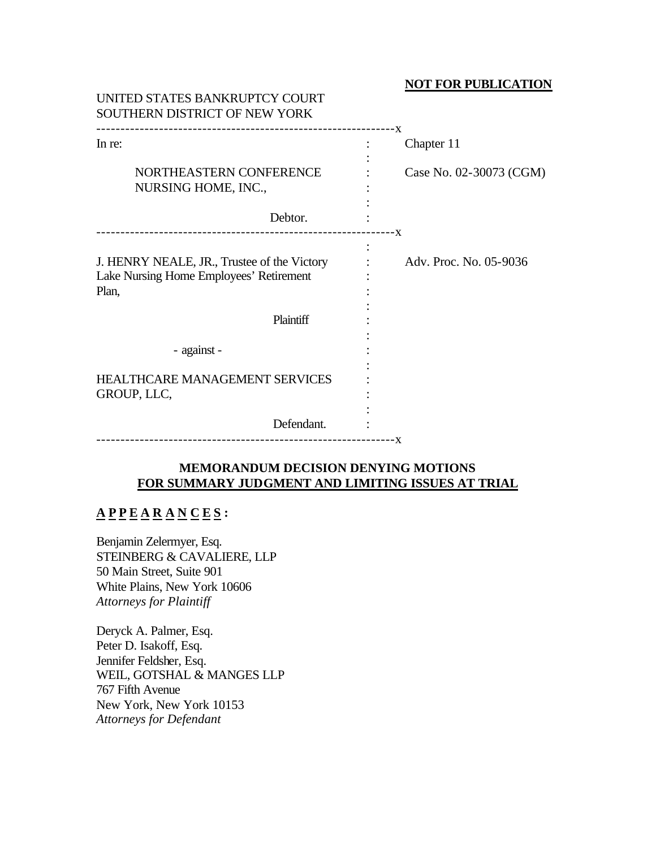### **NOT FOR PUBLICATION**

| UNITED STATES BANKRUPTCY COURT<br>SOUTHERN DISTRICT OF NEW YORK                                 |                                       |
|-------------------------------------------------------------------------------------------------|---------------------------------------|
| In re:<br>NORTHEASTERN CONFERENCE<br>NURSING HOME, INC.,<br>Debtor.                             | Chapter 11<br>Case No. 02-30073 (CGM) |
| J. HENRY NEALE, JR., Trustee of the Victory<br>Lake Nursing Home Employees' Retirement<br>Plan, | Adv. Proc. No. 05-9036                |
| Plaintiff<br>- against -<br><b>HEALTHCARE MANAGEMENT SERVICES</b><br>GROUP, LLC,<br>Defendant.  |                                       |

# **MEMORANDUM DECISION DENYING MOTIONS FOR SUMMARY JUDGMENT AND LIMITING ISSUES AT TRIAL**

# **A P P E A R A N C E S :**

Benjamin Zelermyer, Esq. STEINBERG & CAVALIERE, LLP 50 Main Street, Suite 901 White Plains, New York 10606 *Attorneys for Plaintiff*

Deryck A. Palmer, Esq. Peter D. Isakoff, Esq. Jennifer Feldsher, Esq. WEIL, GOTSHAL & MANGES LLP 767 Fifth Avenue New York, New York 10153 *Attorneys for Defendant*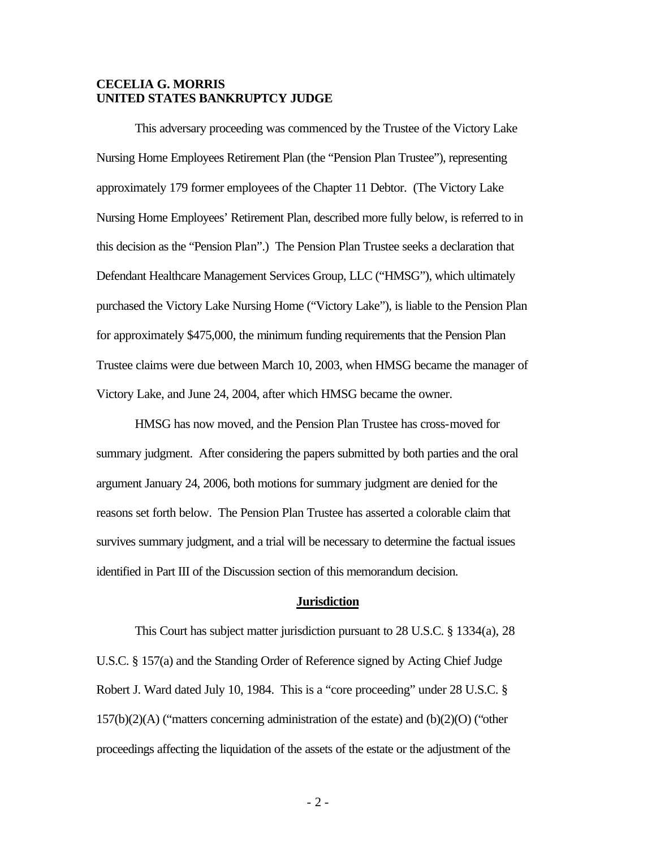## **CECELIA G. MORRIS UNITED STATES BANKRUPTCY JUDGE**

This adversary proceeding was commenced by the Trustee of the Victory Lake Nursing Home Employees Retirement Plan (the "Pension Plan Trustee"), representing approximately 179 former employees of the Chapter 11 Debtor. (The Victory Lake Nursing Home Employees' Retirement Plan, described more fully below, is referred to in this decision as the "Pension Plan".) The Pension Plan Trustee seeks a declaration that Defendant Healthcare Management Services Group, LLC ("HMSG"), which ultimately purchased the Victory Lake Nursing Home ("Victory Lake"), is liable to the Pension Plan for approximately \$475,000, the minimum funding requirements that the Pension Plan Trustee claims were due between March 10, 2003, when HMSG became the manager of Victory Lake, and June 24, 2004, after which HMSG became the owner.

HMSG has now moved, and the Pension Plan Trustee has cross-moved for summary judgment. After considering the papers submitted by both parties and the oral argument January 24, 2006, both motions for summary judgment are denied for the reasons set forth below. The Pension Plan Trustee has asserted a colorable claim that survives summary judgment, and a trial will be necessary to determine the factual issues identified in Part III of the Discussion section of this memorandum decision.

#### **Jurisdiction**

This Court has subject matter jurisdiction pursuant to 28 U.S.C. § 1334(a), 28 U.S.C. § 157(a) and the Standing Order of Reference signed by Acting Chief Judge Robert J. Ward dated July 10, 1984. This is a "core proceeding" under 28 U.S.C. § 157(b)(2)(A) ("matters concerning administration of the estate) and (b)(2)(O) ("other proceedings affecting the liquidation of the assets of the estate or the adjustment of the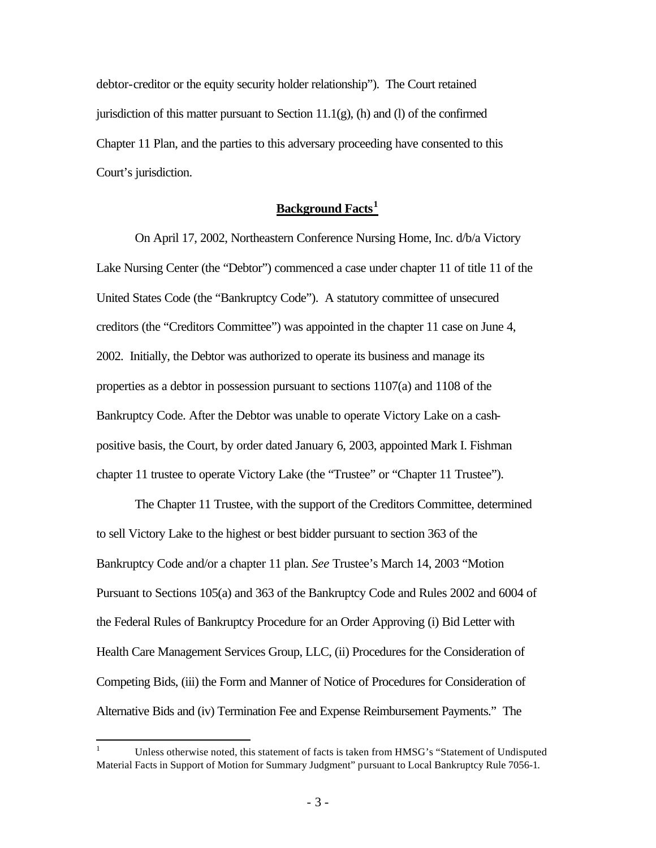debtor-creditor or the equity security holder relationship"). The Court retained jurisdiction of this matter pursuant to Section  $11.1(g)$ , (h) and (l) of the confirmed Chapter 11 Plan, and the parties to this adversary proceeding have consented to this Court's jurisdiction.

# **Background Facts<sup>1</sup>**

On April 17, 2002, Northeastern Conference Nursing Home, Inc. d/b/a Victory Lake Nursing Center (the "Debtor") commenced a case under chapter 11 of title 11 of the United States Code (the "Bankruptcy Code"). A statutory committee of unsecured creditors (the "Creditors Committee") was appointed in the chapter 11 case on June 4, 2002. Initially, the Debtor was authorized to operate its business and manage its properties as a debtor in possession pursuant to sections 1107(a) and 1108 of the Bankruptcy Code. After the Debtor was unable to operate Victory Lake on a cashpositive basis, the Court, by order dated January 6, 2003, appointed Mark I. Fishman chapter 11 trustee to operate Victory Lake (the "Trustee" or "Chapter 11 Trustee").

The Chapter 11 Trustee, with the support of the Creditors Committee, determined to sell Victory Lake to the highest or best bidder pursuant to section 363 of the Bankruptcy Code and/or a chapter 11 plan. *See* Trustee's March 14, 2003 "Motion Pursuant to Sections 105(a) and 363 of the Bankruptcy Code and Rules 2002 and 6004 of the Federal Rules of Bankruptcy Procedure for an Order Approving (i) Bid Letter with Health Care Management Services Group, LLC, (ii) Procedures for the Consideration of Competing Bids, (iii) the Form and Manner of Notice of Procedures for Consideration of Alternative Bids and (iv) Termination Fee and Expense Reimbursement Payments." The

 $\overline{a}$ 

<sup>1</sup> Unless otherwise noted, this statement of facts is taken from HMSG's "Statement of Undisputed Material Facts in Support of Motion for Summary Judgment" pursuant to Local Bankruptcy Rule 7056-1.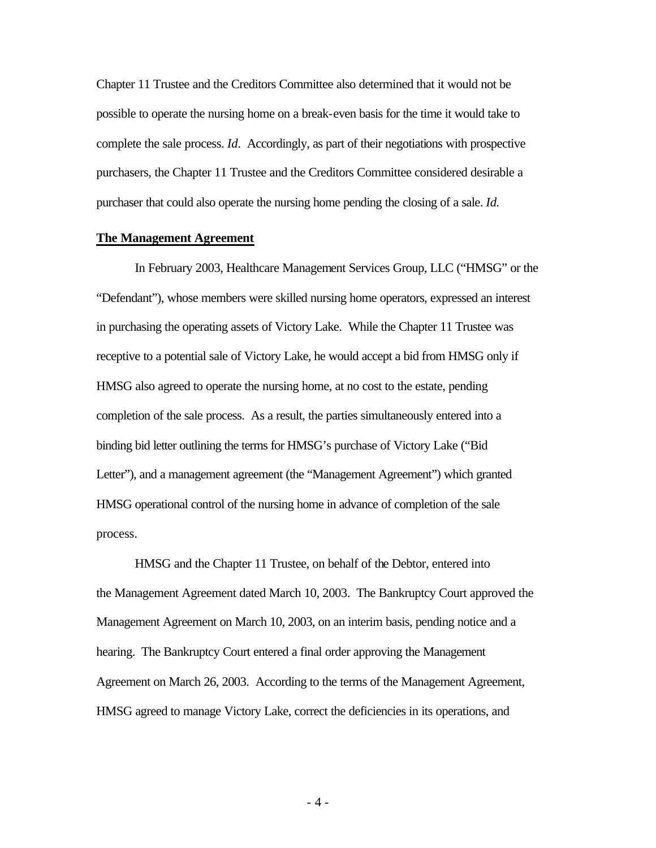Chapter 11 Trustee and the Creditors Committee also determined that it would not be possible to operate the nursing home on a break-even basis for the time it would take to complete the sale process. *Id*. Accordingly, as part of their negotiations with prospective purchasers, the Chapter 11 Trustee and the Creditors Committee considered desirable a purchaser that could also operate the nursing home pending the closing of a sale. *Id.* 

#### **The Management Agreement**

In February 2003, Healthcare Management Services Group, LLC ("HMSG" or the "Defendant"), whose members were skilled nursing home operators, expressed an interest in purchasing the operating assets of Victory Lake. While the Chapter 11 Trustee was receptive to a potential sale of Victory Lake, he would accept a bid from HMSG only if HMSG also agreed to operate the nursing home, at no cost to the estate, pending completion of the sale process. As a result, the parties simultaneously entered into a binding bid letter outlining the terms for HMSG's purchase of Victory Lake ("Bid Letter"), and a management agreement (the "Management Agreement") which granted HMSG operational control of the nursing home in advance of completion of the sale process.

HMSG and the Chapter 11 Trustee, on behalf of the Debtor, entered into the Management Agreement dated March 10, 2003. The Bankruptcy Court approved the Management Agreement on March 10, 2003, on an interim basis, pending notice and a hearing. The Bankruptcy Court entered a final order approving the Management Agreement on March 26, 2003. According to the terms of the Management Agreement, HMSG agreed to manage Victory Lake, correct the deficiencies in its operations, and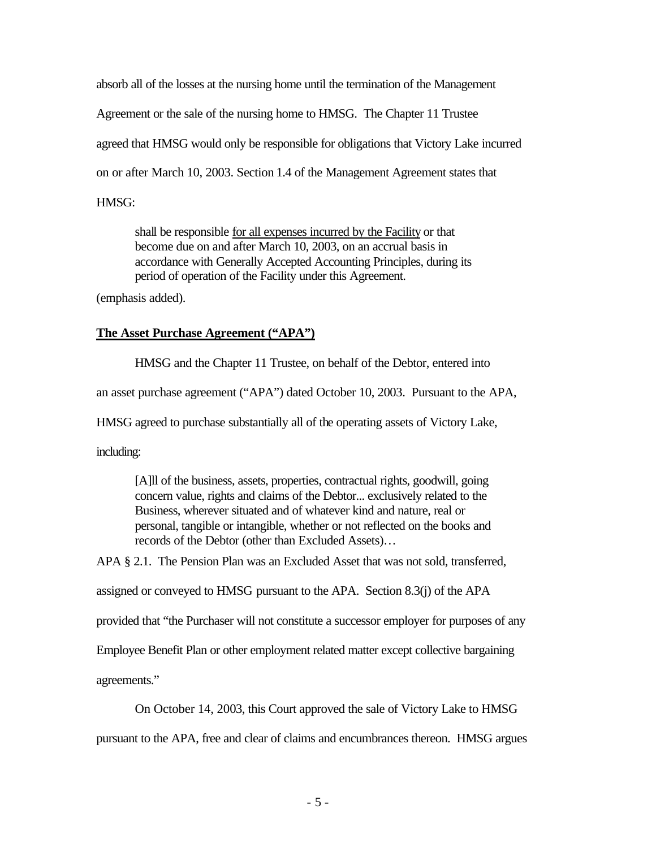absorb all of the losses at the nursing home until the termination of the Management Agreement or the sale of the nursing home to HMSG. The Chapter 11 Trustee agreed that HMSG would only be responsible for obligations that Victory Lake incurred on or after March 10, 2003. Section 1.4 of the Management Agreement states that HMSG:

shall be responsible for all expenses incurred by the Facility or that become due on and after March 10, 2003, on an accrual basis in accordance with Generally Accepted Accounting Principles, during its period of operation of the Facility under this Agreement.

(emphasis added).

# **The Asset Purchase Agreement ("APA")**

HMSG and the Chapter 11 Trustee, on behalf of the Debtor, entered into

an asset purchase agreement ("APA") dated October 10, 2003. Pursuant to the APA,

HMSG agreed to purchase substantially all of the operating assets of Victory Lake,

including:

[A]ll of the business, assets, properties, contractual rights, goodwill, going concern value, rights and claims of the Debtor... exclusively related to the Business, wherever situated and of whatever kind and nature, real or personal, tangible or intangible, whether or not reflected on the books and records of the Debtor (other than Excluded Assets)…

APA § 2.1. The Pension Plan was an Excluded Asset that was not sold, transferred,

assigned or conveyed to HMSG pursuant to the APA. Section 8.3(j) of the APA

provided that "the Purchaser will not constitute a successor employer for purposes of any

Employee Benefit Plan or other employment related matter except collective bargaining

agreements."

On October 14, 2003, this Court approved the sale of Victory Lake to HMSG

pursuant to the APA, free and clear of claims and encumbrances thereon. HMSG argues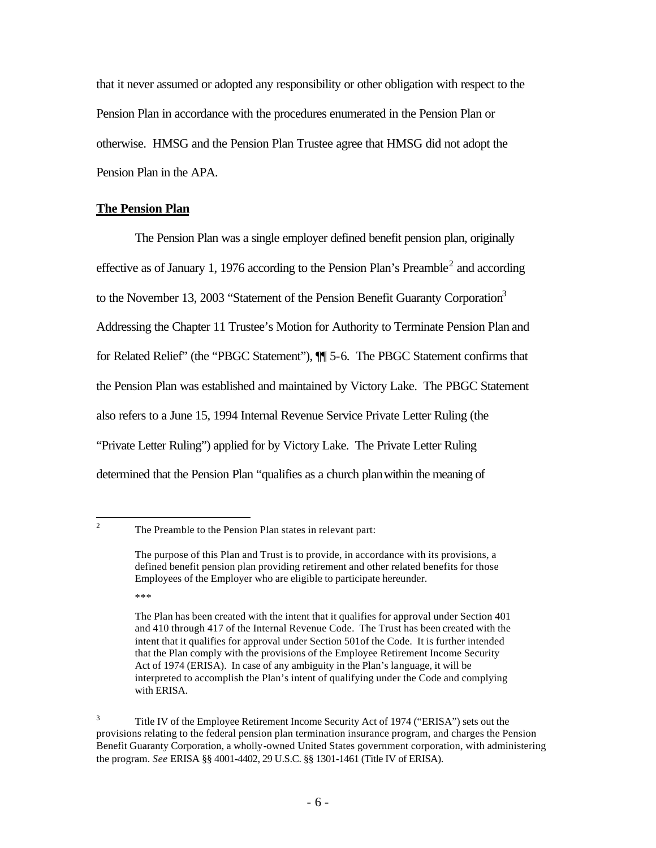that it never assumed or adopted any responsibility or other obligation with respect to the Pension Plan in accordance with the procedures enumerated in the Pension Plan or otherwise. HMSG and the Pension Plan Trustee agree that HMSG did not adopt the Pension Plan in the APA.

### **The Pension Plan**

The Pension Plan was a single employer defined benefit pension plan, originally effective as of January 1, 1976 according to the Pension Plan's Preamble<sup>2</sup> and according to the November 13, 2003 "Statement of the Pension Benefit Guaranty Corporation<sup>3</sup> Addressing the Chapter 11 Trustee's Motion for Authority to Terminate Pension Plan and for Related Relief" (the "PBGC Statement"), ¶¶ 5-6. The PBGC Statement confirms that the Pension Plan was established and maintained by Victory Lake. The PBGC Statement also refers to a June 15, 1994 Internal Revenue Service Private Letter Ruling (the "Private Letter Ruling") applied for by Victory Lake. The Private Letter Ruling determined that the Pension Plan "qualifies as a church planwithin the meaning of

 $\frac{1}{2}$ 

The Preamble to the Pension Plan states in relevant part:

The purpose of this Plan and Trust is to provide, in accordance with its provisions, a defined benefit pension plan providing retirement and other related benefits for those Employees of the Employer who are eligible to participate hereunder.

<sup>\*\*\*</sup> 

The Plan has been created with the intent that it qualifies for approval under Section 401 and 410 through 417 of the Internal Revenue Code. The Trust has been created with the intent that it qualifies for approval under Section 501of the Code. It is further intended that the Plan comply with the provisions of the Employee Retirement Income Security Act of 1974 (ERISA). In case of any ambiguity in the Plan's language, it will be interpreted to accomplish the Plan's intent of qualifying under the Code and complying with ERISA.

<sup>3</sup> Title IV of the Employee Retirement Income Security Act of 1974 ("ERISA") sets out the provisions relating to the federal pension plan termination insurance program, and charges the Pension Benefit Guaranty Corporation, a wholly-owned United States government corporation, with administering the program. *See* ERISA §§ 4001-4402, 29 U.S.C. §§ 1301-1461 (Title IV of ERISA).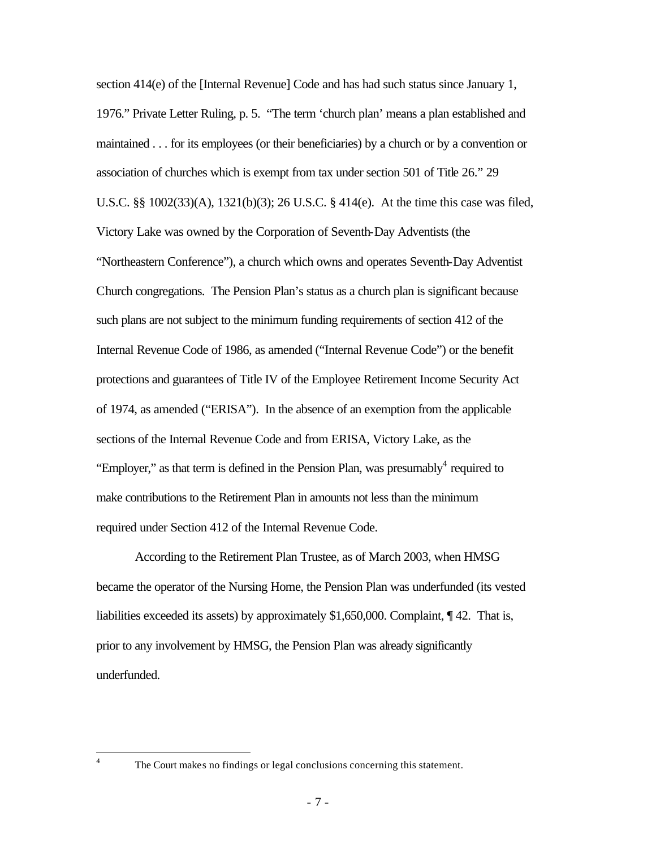section 414(e) of the [Internal Revenue] Code and has had such status since January 1, 1976." Private Letter Ruling, p. 5. "The term 'church plan' means a plan established and maintained . . . for its employees (or their beneficiaries) by a church or by a convention or association of churches which is exempt from tax under section 501 of Title 26." 29 U.S.C. §§ 1002(33)(A), 1321(b)(3); 26 U.S.C. § 414(e). At the time this case was filed, Victory Lake was owned by the Corporation of Seventh-Day Adventists (the "Northeastern Conference"), a church which owns and operates Seventh-Day Adventist Church congregations. The Pension Plan's status as a church plan is significant because such plans are not subject to the minimum funding requirements of section 412 of the Internal Revenue Code of 1986, as amended ("Internal Revenue Code") or the benefit protections and guarantees of Title IV of the Employee Retirement Income Security Act of 1974, as amended ("ERISA"). In the absence of an exemption from the applicable sections of the Internal Revenue Code and from ERISA, Victory Lake, as the "Employer," as that term is defined in the Pension Plan, was presumably $4$  required to make contributions to the Retirement Plan in amounts not less than the minimum required under Section 412 of the Internal Revenue Code.

According to the Retirement Plan Trustee, as of March 2003, when HMSG became the operator of the Nursing Home, the Pension Plan was underfunded (its vested liabilities exceeded its assets) by approximately \$1,650,000. Complaint, ¶ 42. That is, prior to any involvement by HMSG, the Pension Plan was already significantly underfunded.

 $\frac{1}{4}$ 

The Court makes no findings or legal conclusions concerning this statement.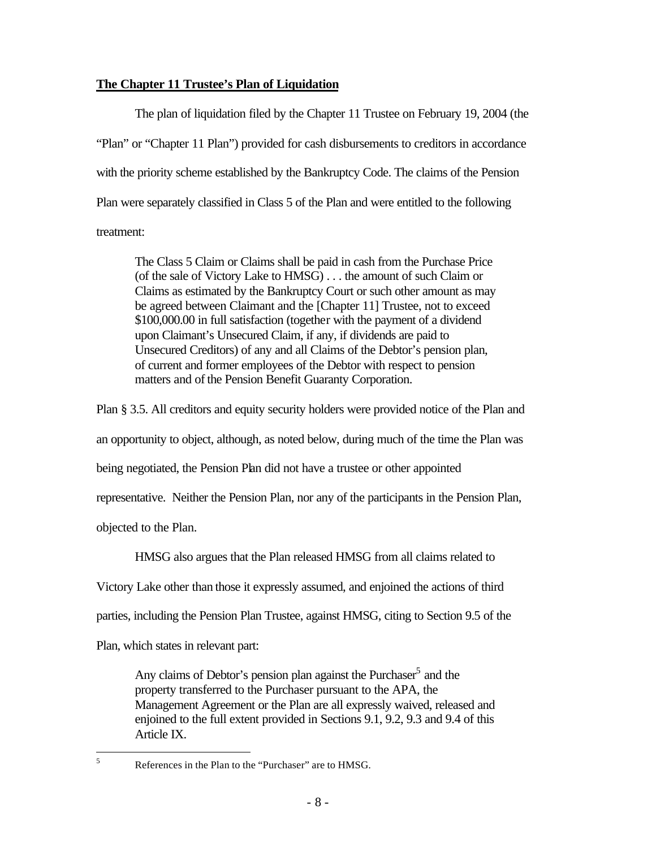# **The Chapter 11 Trustee's Plan of Liquidation**

The plan of liquidation filed by the Chapter 11 Trustee on February 19, 2004 (the "Plan" or "Chapter 11 Plan") provided for cash disbursements to creditors in accordance with the priority scheme established by the Bankruptcy Code. The claims of the Pension Plan were separately classified in Class 5 of the Plan and were entitled to the following treatment:

The Class 5 Claim or Claims shall be paid in cash from the Purchase Price (of the sale of Victory Lake to HMSG) . . . the amount of such Claim or Claims as estimated by the Bankruptcy Court or such other amount as may be agreed between Claimant and the [Chapter 11] Trustee, not to exceed \$100,000.00 in full satisfaction (together with the payment of a dividend upon Claimant's Unsecured Claim, if any, if dividends are paid to Unsecured Creditors) of any and all Claims of the Debtor's pension plan, of current and former employees of the Debtor with respect to pension matters and of the Pension Benefit Guaranty Corporation.

Plan § 3.5. All creditors and equity security holders were provided notice of the Plan and an opportunity to object, although, as noted below, during much of the time the Plan was being negotiated, the Pension Plan did not have a trustee or other appointed representative. Neither the Pension Plan, nor any of the participants in the Pension Plan, objected to the Plan.

HMSG also argues that the Plan released HMSG from all claims related to

Victory Lake other than those it expressly assumed, and enjoined the actions of third

parties, including the Pension Plan Trustee, against HMSG, citing to Section 9.5 of the

Plan, which states in relevant part:

Any claims of Debtor's pension plan against the Purchaser<sup>5</sup> and the property transferred to the Purchaser pursuant to the APA, the Management Agreement or the Plan are all expressly waived, released and enjoined to the full extent provided in Sections 9.1, 9.2, 9.3 and 9.4 of this Article IX.

5

<sup>5</sup> References in the Plan to the "Purchaser" are to HMSG.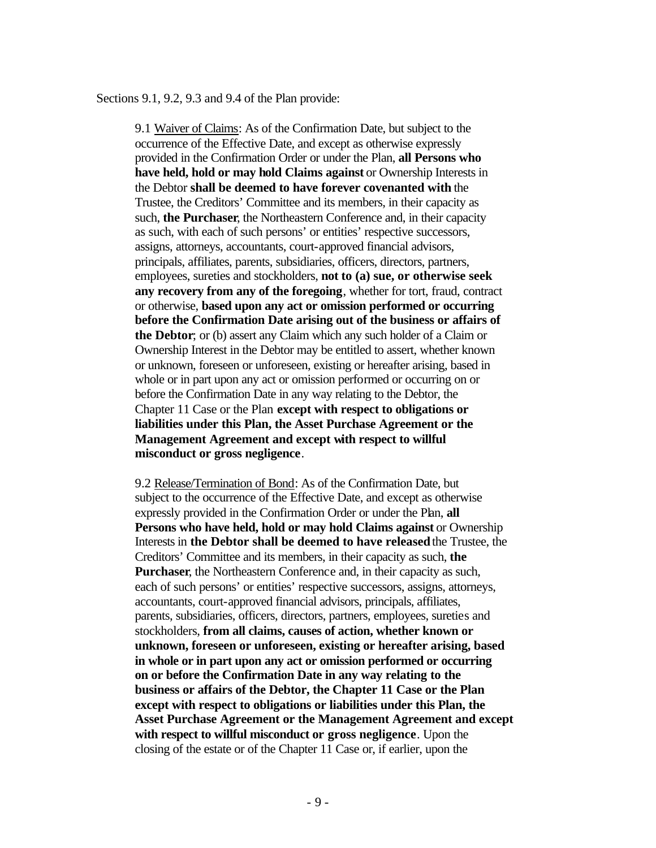Sections 9.1, 9.2, 9.3 and 9.4 of the Plan provide:

9.1 Waiver of Claims: As of the Confirmation Date, but subject to the occurrence of the Effective Date, and except as otherwise expressly provided in the Confirmation Order or under the Plan, **all Persons who have held, hold or may hold Claims against** or Ownership Interests in the Debtor **shall be deemed to have forever covenanted with** the Trustee, the Creditors' Committee and its members, in their capacity as such, **the Purchaser**, the Northeastern Conference and, in their capacity as such, with each of such persons' or entities' respective successors, assigns, attorneys, accountants, court-approved financial advisors, principals, affiliates, parents, subsidiaries, officers, directors, partners, employees, sureties and stockholders, **not to (a) sue, or otherwise seek any recovery from any of the foregoing**, whether for tort, fraud, contract or otherwise, **based upon any act or omission performed or occurring before the Confirmation Date arising out of the business or affairs of the Debtor**; or (b) assert any Claim which any such holder of a Claim or Ownership Interest in the Debtor may be entitled to assert, whether known or unknown, foreseen or unforeseen, existing or hereafter arising, based in whole or in part upon any act or omission performed or occurring on or before the Confirmation Date in any way relating to the Debtor, the Chapter 11 Case or the Plan **except with respect to obligations or liabilities under this Plan, the Asset Purchase Agreement or the Management Agreement and except with respect to willful misconduct or gross negligence**.

9.2 Release/Termination of Bond: As of the Confirmation Date, but subject to the occurrence of the Effective Date, and except as otherwise expressly provided in the Confirmation Order or under the Plan, **all Persons who have held, hold or may hold Claims against** or Ownership Interests in **the Debtor shall be deemed to have released** the Trustee, the Creditors' Committee and its members, in their capacity as such, **the Purchaser**, the Northeastern Conference and, in their capacity as such, each of such persons' or entities' respective successors, assigns, attorneys, accountants, court-approved financial advisors, principals, affiliates, parents, subsidiaries, officers, directors, partners, employees, sureties and stockholders, **from all claims, causes of action, whether known or unknown, foreseen or unforeseen, existing or hereafter arising, based in whole or in part upon any act or omission performed or occurring on or before the Confirmation Date in any way relating to the business or affairs of the Debtor, the Chapter 11 Case or the Plan except with respect to obligations or liabilities under this Plan, the Asset Purchase Agreement or the Management Agreement and except with respect to willful misconduct or gross negligence**. Upon the closing of the estate or of the Chapter 11 Case or, if earlier, upon the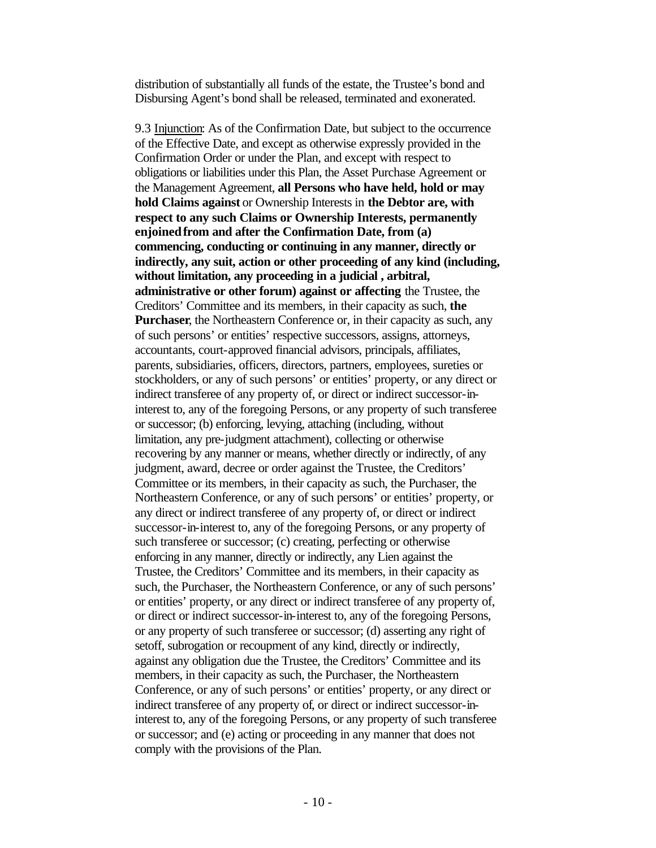distribution of substantially all funds of the estate, the Trustee's bond and Disbursing Agent's bond shall be released, terminated and exonerated.

9.3 Injunction: As of the Confirmation Date, but subject to the occurrence of the Effective Date, and except as otherwise expressly provided in the Confirmation Order or under the Plan, and except with respect to obligations or liabilities under this Plan, the Asset Purchase Agreement or the Management Agreement, **all Persons who have held, hold or may hold Claims against** or Ownership Interests in **the Debtor are, with respect to any such Claims or Ownership Interests, permanently enjoinedfrom and after the Confirmation Date, from (a) commencing, conducting or continuing in any manner, directly or indirectly, any suit, action or other proceeding of any kind (including, without limitation, any proceeding in a judicial , arbitral, administrative or other forum) against or affecting** the Trustee, the Creditors' Committee and its members, in their capacity as such, **the Purchaser**, the Northeastern Conference or, in their capacity as such, any of such persons' or entities' respective successors, assigns, attorneys, accountants, court-approved financial advisors, principals, affiliates, parents, subsidiaries, officers, directors, partners, employees, sureties or stockholders, or any of such persons' or entities' property, or any direct or indirect transferee of any property of, or direct or indirect successor-ininterest to, any of the foregoing Persons, or any property of such transferee or successor; (b) enforcing, levying, attaching (including, without limitation, any pre-judgment attachment), collecting or otherwise recovering by any manner or means, whether directly or indirectly, of any judgment, award, decree or order against the Trustee, the Creditors' Committee or its members, in their capacity as such, the Purchaser, the Northeastern Conference, or any of such persons' or entities' property, or any direct or indirect transferee of any property of, or direct or indirect successor-in-interest to, any of the foregoing Persons, or any property of such transferee or successor; (c) creating, perfecting or otherwise enforcing in any manner, directly or indirectly, any Lien against the Trustee, the Creditors' Committee and its members, in their capacity as such, the Purchaser, the Northeastern Conference, or any of such persons' or entities' property, or any direct or indirect transferee of any property of, or direct or indirect successor-in-interest to, any of the foregoing Persons, or any property of such transferee or successor; (d) asserting any right of setoff, subrogation or recoupment of any kind, directly or indirectly, against any obligation due the Trustee, the Creditors' Committee and its members, in their capacity as such, the Purchaser, the Northeastern Conference, or any of such persons' or entities' property, or any direct or indirect transferee of any property of, or direct or indirect successor-ininterest to, any of the foregoing Persons, or any property of such transferee or successor; and (e) acting or proceeding in any manner that does not comply with the provisions of the Plan.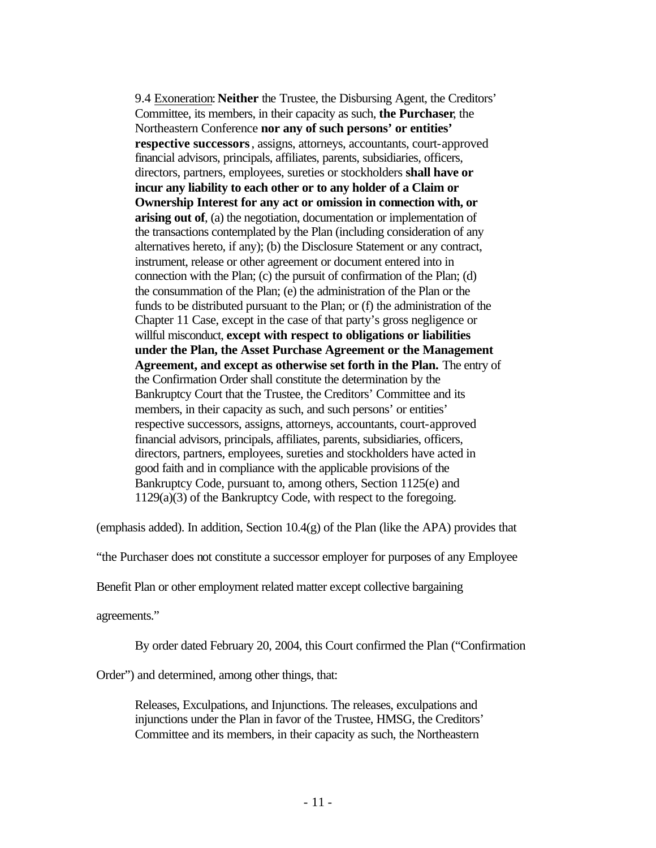9.4 Exoneration: **Neither** the Trustee, the Disbursing Agent, the Creditors' Committee, its members, in their capacity as such, **the Purchaser**, the Northeastern Conference **nor any of such persons' or entities' respective successors**, assigns, attorneys, accountants, court-approved financial advisors, principals, affiliates, parents, subsidiaries, officers, directors, partners, employees, sureties or stockholders **shall have or incur any liability to each other or to any holder of a Claim or Ownership Interest for any act or omission in connection with, or arising out of**, (a) the negotiation, documentation or implementation of the transactions contemplated by the Plan (including consideration of any alternatives hereto, if any); (b) the Disclosure Statement or any contract, instrument, release or other agreement or document entered into in connection with the Plan; (c) the pursuit of confirmation of the Plan; (d) the consummation of the Plan; (e) the administration of the Plan or the funds to be distributed pursuant to the Plan; or (f) the administration of the Chapter 11 Case, except in the case of that party's gross negligence or willful misconduct, **except with respect to obligations or liabilities under the Plan, the Asset Purchase Agreement or the Management Agreement, and except as otherwise set forth in the Plan.** The entry of the Confirmation Order shall constitute the determination by the Bankruptcy Court that the Trustee, the Creditors' Committee and its members, in their capacity as such, and such persons' or entities' respective successors, assigns, attorneys, accountants, court-approved financial advisors, principals, affiliates, parents, subsidiaries, officers, directors, partners, employees, sureties and stockholders have acted in good faith and in compliance with the applicable provisions of the Bankruptcy Code, pursuant to, among others, Section 1125(e) and 1129(a)(3) of the Bankruptcy Code, with respect to the foregoing.

(emphasis added). In addition, Section 10.4(g) of the Plan (like the APA) provides that

"the Purchaser does not constitute a successor employer for purposes of any Employee

Benefit Plan or other employment related matter except collective bargaining

agreements."

By order dated February 20, 2004, this Court confirmed the Plan ("Confirmation

Order") and determined, among other things, that:

Releases, Exculpations, and Injunctions. The releases, exculpations and injunctions under the Plan in favor of the Trustee, HMSG, the Creditors' Committee and its members, in their capacity as such, the Northeastern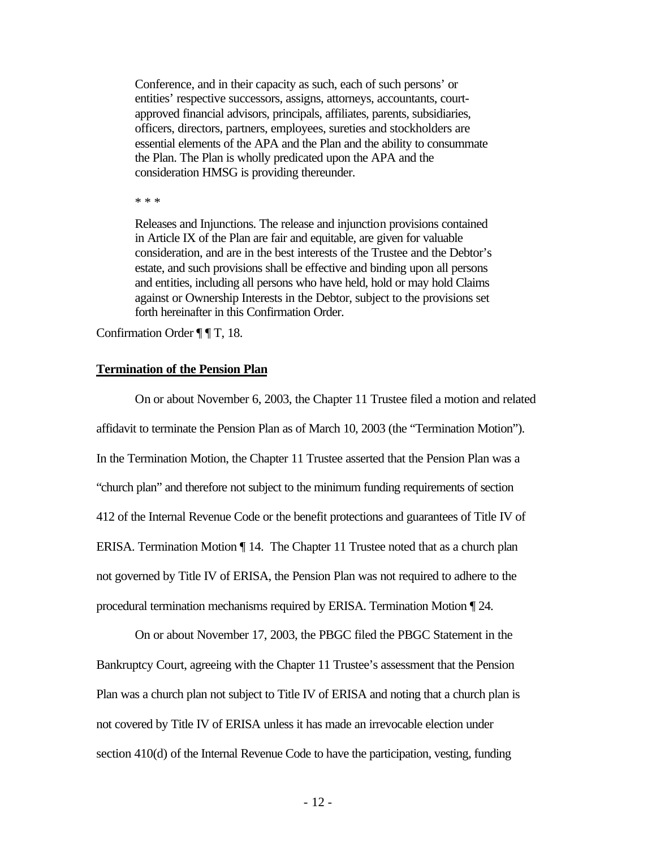Conference, and in their capacity as such, each of such persons' or entities' respective successors, assigns, attorneys, accountants, courtapproved financial advisors, principals, affiliates, parents, subsidiaries, officers, directors, partners, employees, sureties and stockholders are essential elements of the APA and the Plan and the ability to consummate the Plan. The Plan is wholly predicated upon the APA and the consideration HMSG is providing thereunder.

\* \* \*

Releases and Injunctions. The release and injunction provisions contained in Article IX of the Plan are fair and equitable, are given for valuable consideration, and are in the best interests of the Trustee and the Debtor's estate, and such provisions shall be effective and binding upon all persons and entities, including all persons who have held, hold or may hold Claims against or Ownership Interests in the Debtor, subject to the provisions set forth hereinafter in this Confirmation Order.

Confirmation Order ¶ ¶ T, 18.

### **Termination of the Pension Plan**

On or about November 6, 2003, the Chapter 11 Trustee filed a motion and related affidavit to terminate the Pension Plan as of March 10, 2003 (the "Termination Motion"). In the Termination Motion, the Chapter 11 Trustee asserted that the Pension Plan was a "church plan" and therefore not subject to the minimum funding requirements of section 412 of the Internal Revenue Code or the benefit protections and guarantees of Title IV of ERISA. Termination Motion ¶ 14. The Chapter 11 Trustee noted that as a church plan not governed by Title IV of ERISA, the Pension Plan was not required to adhere to the procedural termination mechanisms required by ERISA. Termination Motion ¶ 24.

On or about November 17, 2003, the PBGC filed the PBGC Statement in the Bankruptcy Court, agreeing with the Chapter 11 Trustee's assessment that the Pension Plan was a church plan not subject to Title IV of ERISA and noting that a church plan is not covered by Title IV of ERISA unless it has made an irrevocable election under section 410(d) of the Internal Revenue Code to have the participation, vesting, funding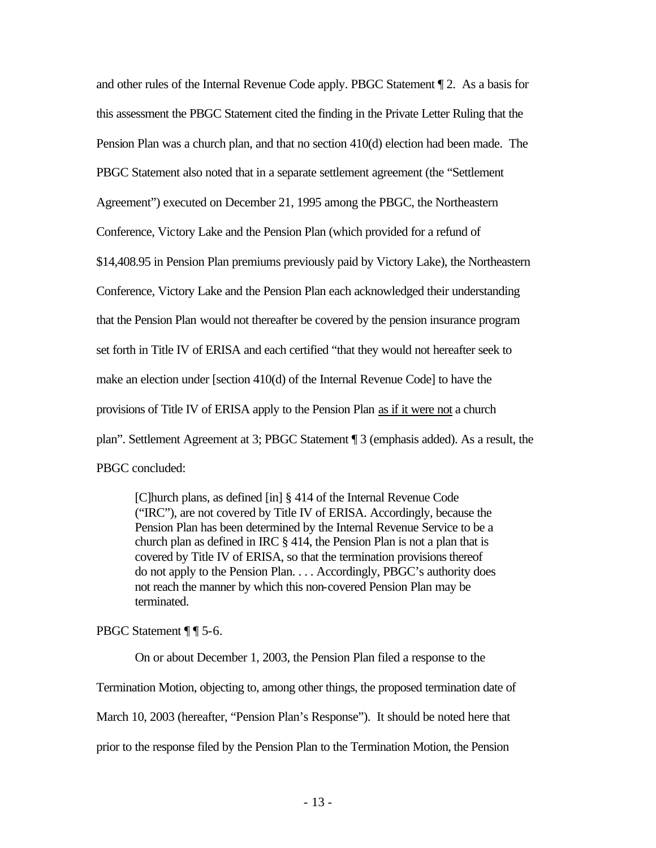and other rules of the Internal Revenue Code apply. PBGC Statement ¶ 2. As a basis for this assessment the PBGC Statement cited the finding in the Private Letter Ruling that the Pension Plan was a church plan, and that no section 410(d) election had been made. The PBGC Statement also noted that in a separate settlement agreement (the "Settlement Agreement") executed on December 21, 1995 among the PBGC, the Northeastern Conference, Victory Lake and the Pension Plan (which provided for a refund of \$14,408.95 in Pension Plan premiums previously paid by Victory Lake), the Northeastern Conference, Victory Lake and the Pension Plan each acknowledged their understanding that the Pension Plan would not thereafter be covered by the pension insurance program set forth in Title IV of ERISA and each certified "that they would not hereafter seek to make an election under [section 410(d) of the Internal Revenue Code] to have the provisions of Title IV of ERISA apply to the Pension Plan as if it were not a church plan". Settlement Agreement at 3; PBGC Statement ¶ 3 (emphasis added). As a result, the PBGC concluded:

[C]hurch plans, as defined [in] § 414 of the Internal Revenue Code ("IRC"), are not covered by Title IV of ERISA. Accordingly, because the Pension Plan has been determined by the Internal Revenue Service to be a church plan as defined in IRC § 414, the Pension Plan is not a plan that is covered by Title IV of ERISA, so that the termination provisions thereof do not apply to the Pension Plan. . . . Accordingly, PBGC's authority does not reach the manner by which this non-covered Pension Plan may be terminated.

PBGC Statement ¶ ¶ 5-6.

On or about December 1, 2003, the Pension Plan filed a response to the Termination Motion, objecting to, among other things, the proposed termination date of March 10, 2003 (hereafter, "Pension Plan's Response"). It should be noted here that prior to the response filed by the Pension Plan to the Termination Motion, the Pension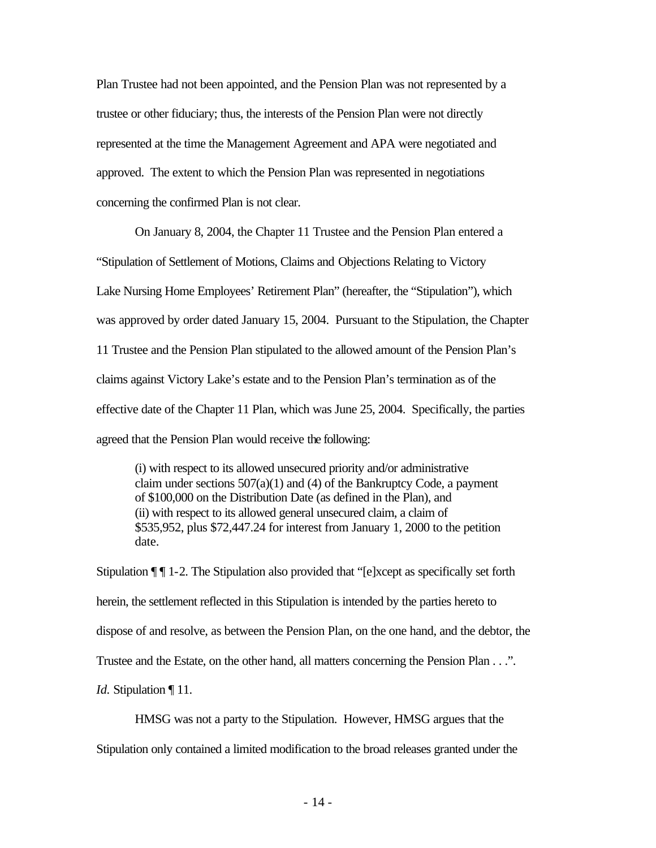Plan Trustee had not been appointed, and the Pension Plan was not represented by a trustee or other fiduciary; thus, the interests of the Pension Plan were not directly represented at the time the Management Agreement and APA were negotiated and approved. The extent to which the Pension Plan was represented in negotiations concerning the confirmed Plan is not clear.

On January 8, 2004, the Chapter 11 Trustee and the Pension Plan entered a "Stipulation of Settlement of Motions, Claims and Objections Relating to Victory Lake Nursing Home Employees' Retirement Plan" (hereafter, the "Stipulation"), which was approved by order dated January 15, 2004. Pursuant to the Stipulation, the Chapter 11 Trustee and the Pension Plan stipulated to the allowed amount of the Pension Plan's claims against Victory Lake's estate and to the Pension Plan's termination as of the effective date of the Chapter 11 Plan, which was June 25, 2004. Specifically, the parties agreed that the Pension Plan would receive the following:

(i) with respect to its allowed unsecured priority and/or administrative claim under sections  $507(a)(1)$  and (4) of the Bankruptcy Code, a payment of \$100,000 on the Distribution Date (as defined in the Plan), and (ii) with respect to its allowed general unsecured claim, a claim of \$535,952, plus \$72,447.24 for interest from January 1, 2000 to the petition date.

Stipulation ¶ ¶ 1-2. The Stipulation also provided that "[e]xcept as specifically set forth herein, the settlement reflected in this Stipulation is intended by the parties hereto to dispose of and resolve, as between the Pension Plan, on the one hand, and the debtor, the Trustee and the Estate, on the other hand, all matters concerning the Pension Plan . . .". *Id.* Stipulation | 11.

HMSG was not a party to the Stipulation. However, HMSG argues that the Stipulation only contained a limited modification to the broad releases granted under the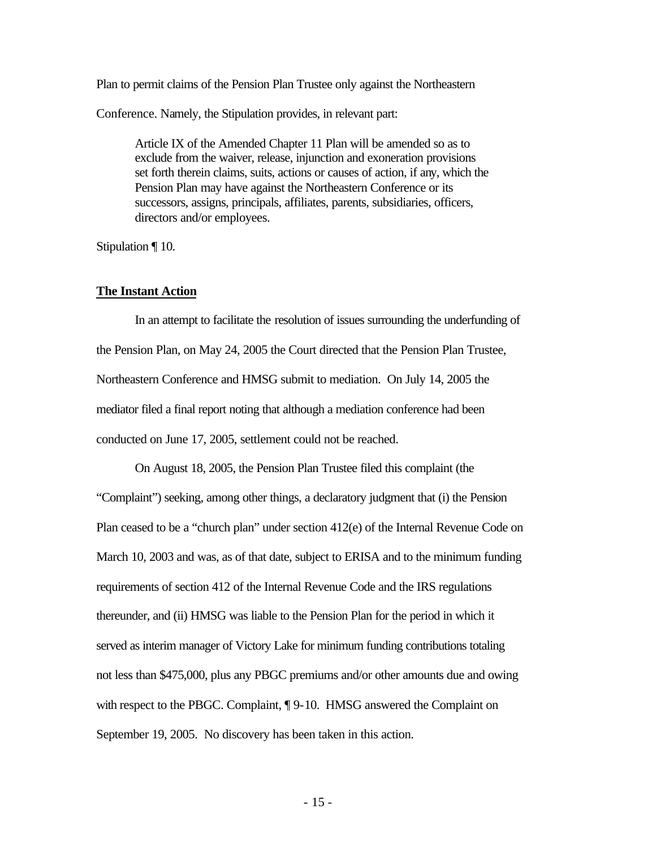Plan to permit claims of the Pension Plan Trustee only against the Northeastern

Conference. Namely, the Stipulation provides, in relevant part:

Article IX of the Amended Chapter 11 Plan will be amended so as to exclude from the waiver, release, injunction and exoneration provisions set forth therein claims, suits, actions or causes of action, if any, which the Pension Plan may have against the Northeastern Conference or its successors, assigns, principals, affiliates, parents, subsidiaries, officers, directors and/or employees.

Stipulation ¶ 10.

#### **The Instant Action**

In an attempt to facilitate the resolution of issues surrounding the underfunding of the Pension Plan, on May 24, 2005 the Court directed that the Pension Plan Trustee, Northeastern Conference and HMSG submit to mediation. On July 14, 2005 the mediator filed a final report noting that although a mediation conference had been conducted on June 17, 2005, settlement could not be reached.

On August 18, 2005, the Pension Plan Trustee filed this complaint (the "Complaint") seeking, among other things, a declaratory judgment that (i) the Pension Plan ceased to be a "church plan" under section 412(e) of the Internal Revenue Code on March 10, 2003 and was, as of that date, subject to ERISA and to the minimum funding requirements of section 412 of the Internal Revenue Code and the IRS regulations thereunder, and (ii) HMSG was liable to the Pension Plan for the period in which it served as interim manager of Victory Lake for minimum funding contributions totaling not less than \$475,000, plus any PBGC premiums and/or other amounts due and owing with respect to the PBGC. Complaint,  $\P$  9-10. HMSG answered the Complaint on September 19, 2005. No discovery has been taken in this action.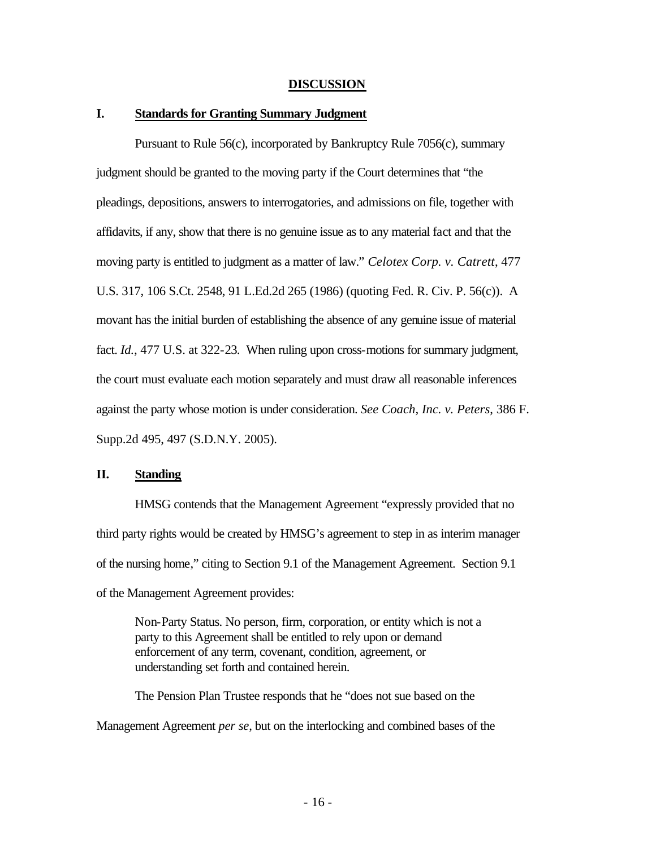#### **DISCUSSION**

### **I. Standards for Granting Summary Judgment**

Pursuant to Rule 56(c), incorporated by Bankruptcy Rule 7056(c), summary judgment should be granted to the moving party if the Court determines that "the pleadings, depositions, answers to interrogatories, and admissions on file, together with affidavits, if any, show that there is no genuine issue as to any material fact and that the moving party is entitled to judgment as a matter of law." *Celotex Corp. v. Catrett*, 477 U.S. 317, 106 S.Ct. 2548, 91 L.Ed.2d 265 (1986) (quoting Fed. R. Civ. P. 56(c)). A movant has the initial burden of establishing the absence of any genuine issue of material fact. *Id.*, 477 U.S. at 322-23. When ruling upon cross-motions for summary judgment, the court must evaluate each motion separately and must draw all reasonable inferences against the party whose motion is under consideration. *See Coach, Inc. v. Peters*, 386 F. Supp.2d 495, 497 (S.D.N.Y. 2005).

## **II. Standing**

HMSG contends that the Management Agreement "expressly provided that no third party rights would be created by HMSG's agreement to step in as interim manager of the nursing home," citing to Section 9.1 of the Management Agreement. Section 9.1 of the Management Agreement provides:

Non-Party Status. No person, firm, corporation, or entity which is not a party to this Agreement shall be entitled to rely upon or demand enforcement of any term, covenant, condition, agreement, or understanding set forth and contained herein.

The Pension Plan Trustee responds that he "does not sue based on the Management Agreement *per se*, but on the interlocking and combined bases of the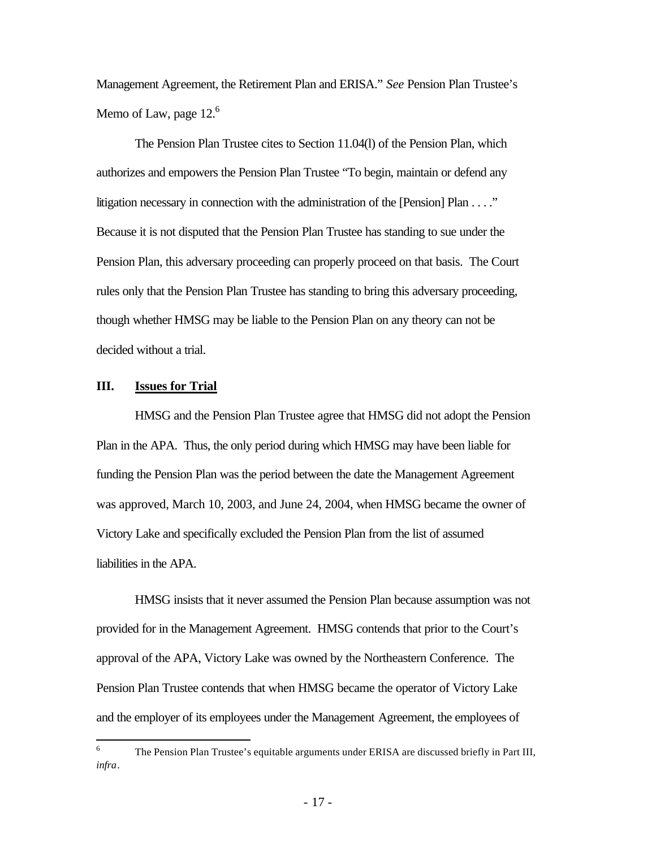Management Agreement, the Retirement Plan and ERISA." *See* Pension Plan Trustee's Memo of Law, page  $12<sup>6</sup>$ 

The Pension Plan Trustee cites to Section 11.04(l) of the Pension Plan, which authorizes and empowers the Pension Plan Trustee "To begin, maintain or defend any litigation necessary in connection with the administration of the [Pension] Plan . . . ." Because it is not disputed that the Pension Plan Trustee has standing to sue under the Pension Plan, this adversary proceeding can properly proceed on that basis. The Court rules only that the Pension Plan Trustee has standing to bring this adversary proceeding, though whether HMSG may be liable to the Pension Plan on any theory can not be decided without a trial.

### **III. Issues for Trial**

HMSG and the Pension Plan Trustee agree that HMSG did not adopt the Pension Plan in the APA. Thus, the only period during which HMSG may have been liable for funding the Pension Plan was the period between the date the Management Agreement was approved, March 10, 2003, and June 24, 2004, when HMSG became the owner of Victory Lake and specifically excluded the Pension Plan from the list of assumed liabilities in the APA.

HMSG insists that it never assumed the Pension Plan because assumption was not provided for in the Management Agreement. HMSG contends that prior to the Court's approval of the APA, Victory Lake was owned by the Northeastern Conference. The Pension Plan Trustee contends that when HMSG became the operator of Victory Lake and the employer of its employees under the Management Agreement, the employees of

 6 The Pension Plan Trustee's equitable arguments under ERISA are discussed briefly in Part III, *infra*.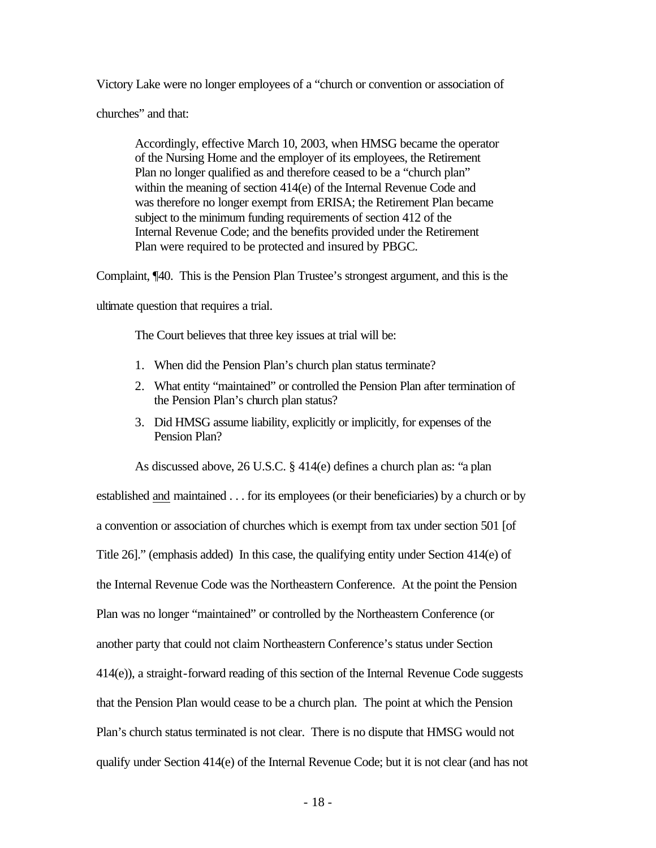Victory Lake were no longer employees of a "church or convention or association of

churches" and that:

Accordingly, effective March 10, 2003, when HMSG became the operator of the Nursing Home and the employer of its employees, the Retirement Plan no longer qualified as and therefore ceased to be a "church plan" within the meaning of section 414(e) of the Internal Revenue Code and was therefore no longer exempt from ERISA; the Retirement Plan became subject to the minimum funding requirements of section 412 of the Internal Revenue Code; and the benefits provided under the Retirement Plan were required to be protected and insured by PBGC.

Complaint, ¶40. This is the Pension Plan Trustee's strongest argument, and this is the

ultimate question that requires a trial.

The Court believes that three key issues at trial will be:

- 1. When did the Pension Plan's church plan status terminate?
- 2. What entity "maintained" or controlled the Pension Plan after termination of the Pension Plan's church plan status?
- 3. Did HMSG assume liability, explicitly or implicitly, for expenses of the Pension Plan?

As discussed above, 26 U.S.C. § 414(e) defines a church plan as: "a plan established and maintained . . . for its employees (or their beneficiaries) by a church or by a convention or association of churches which is exempt from tax under section 501 [of Title 26]." (emphasis added) In this case, the qualifying entity under Section 414(e) of the Internal Revenue Code was the Northeastern Conference. At the point the Pension Plan was no longer "maintained" or controlled by the Northeastern Conference (or another party that could not claim Northeastern Conference's status under Section 414(e)), a straight-forward reading of this section of the Internal Revenue Code suggests that the Pension Plan would cease to be a church plan. The point at which the Pension Plan's church status terminated is not clear. There is no dispute that HMSG would not qualify under Section 414(e) of the Internal Revenue Code; but it is not clear (and has not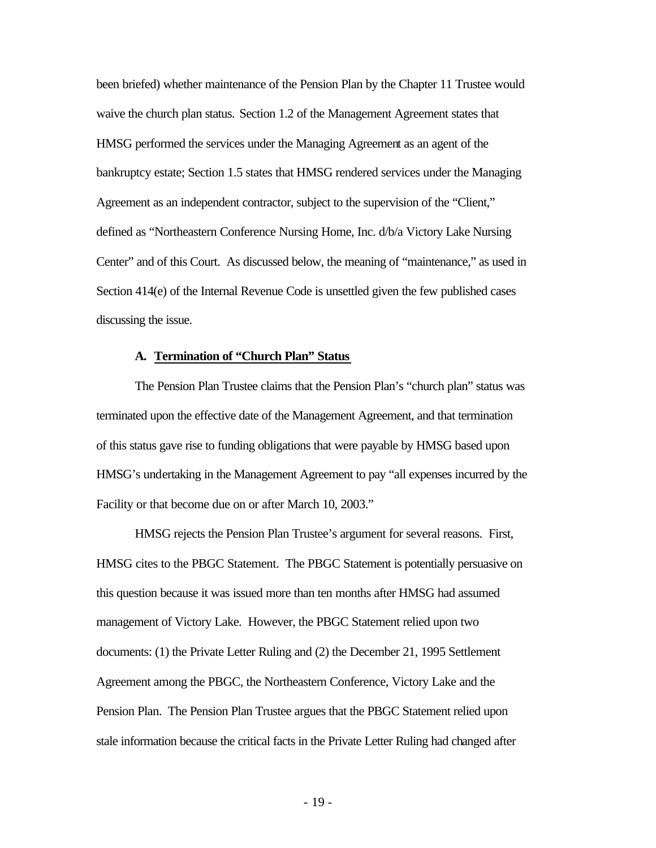been briefed) whether maintenance of the Pension Plan by the Chapter 11 Trustee would waive the church plan status. Section 1.2 of the Management Agreement states that HMSG performed the services under the Managing Agreement as an agent of the bankruptcy estate; Section 1.5 states that HMSG rendered services under the Managing Agreement as an independent contractor, subject to the supervision of the "Client," defined as "Northeastern Conference Nursing Home, Inc. d/b/a Victory Lake Nursing Center" and of this Court. As discussed below, the meaning of "maintenance," as used in Section 414(e) of the Internal Revenue Code is unsettled given the few published cases discussing the issue.

#### **A. Termination of "Church Plan" Status**

The Pension Plan Trustee claims that the Pension Plan's "church plan" status was terminated upon the effective date of the Management Agreement, and that termination of this status gave rise to funding obligations that were payable by HMSG based upon HMSG's undertaking in the Management Agreement to pay "all expenses incurred by the Facility or that become due on or after March 10, 2003."

HMSG rejects the Pension Plan Trustee's argument for several reasons. First, HMSG cites to the PBGC Statement. The PBGC Statement is potentially persuasive on this question because it was issued more than ten months after HMSG had assumed management of Victory Lake. However, the PBGC Statement relied upon two documents: (1) the Private Letter Ruling and (2) the December 21, 1995 Settlement Agreement among the PBGC, the Northeastern Conference, Victory Lake and the Pension Plan. The Pension Plan Trustee argues that the PBGC Statement relied upon stale information because the critical facts in the Private Letter Ruling had changed after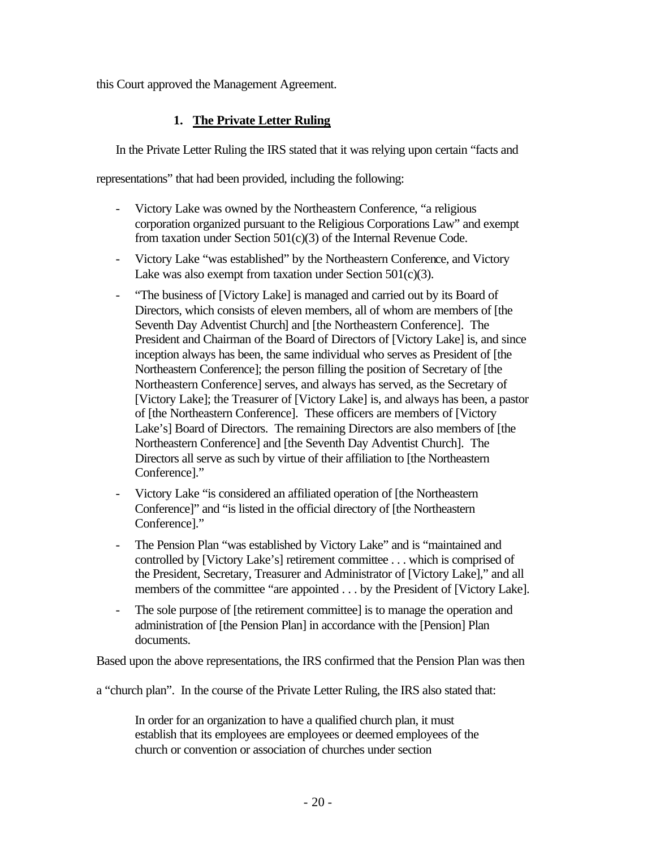this Court approved the Management Agreement.

# **1. The Private Letter Ruling**

In the Private Letter Ruling the IRS stated that it was relying upon certain "facts and

representations" that had been provided, including the following:

- Victory Lake was owned by the Northeastern Conference, "a religious corporation organized pursuant to the Religious Corporations Law" and exempt from taxation under Section 501(c)(3) of the Internal Revenue Code.
- Victory Lake "was established" by the Northeastern Conference, and Victory Lake was also exempt from taxation under Section 501(c)(3).
- "The business of [Victory Lake] is managed and carried out by its Board of Directors, which consists of eleven members, all of whom are members of [the Seventh Day Adventist Church] and [the Northeastern Conference]. The President and Chairman of the Board of Directors of [Victory Lake] is, and since inception always has been, the same individual who serves as President of [the Northeastern Conference]; the person filling the position of Secretary of [the Northeastern Conference] serves, and always has served, as the Secretary of [Victory Lake]; the Treasurer of [Victory Lake] is, and always has been, a pastor of [the Northeastern Conference]. These officers are members of [Victory Lake's] Board of Directors. The remaining Directors are also members of [the Northeastern Conference] and [the Seventh Day Adventist Church]. The Directors all serve as such by virtue of their affiliation to [the Northeastern Conference]."
- Victory Lake "is considered an affiliated operation of [the Northeastern Conference]" and "is listed in the official directory of [the Northeastern Conference]."
- The Pension Plan "was established by Victory Lake" and is "maintained and controlled by [Victory Lake's] retirement committee . . . which is comprised of the President, Secretary, Treasurer and Administrator of [Victory Lake]," and all members of the committee "are appointed . . . by the President of [Victory Lake].
- The sole purpose of [the retirement committee] is to manage the operation and administration of [the Pension Plan] in accordance with the [Pension] Plan documents.

Based upon the above representations, the IRS confirmed that the Pension Plan was then

a "church plan". In the course of the Private Letter Ruling, the IRS also stated that:

In order for an organization to have a qualified church plan, it must establish that its employees are employees or deemed employees of the church or convention or association of churches under section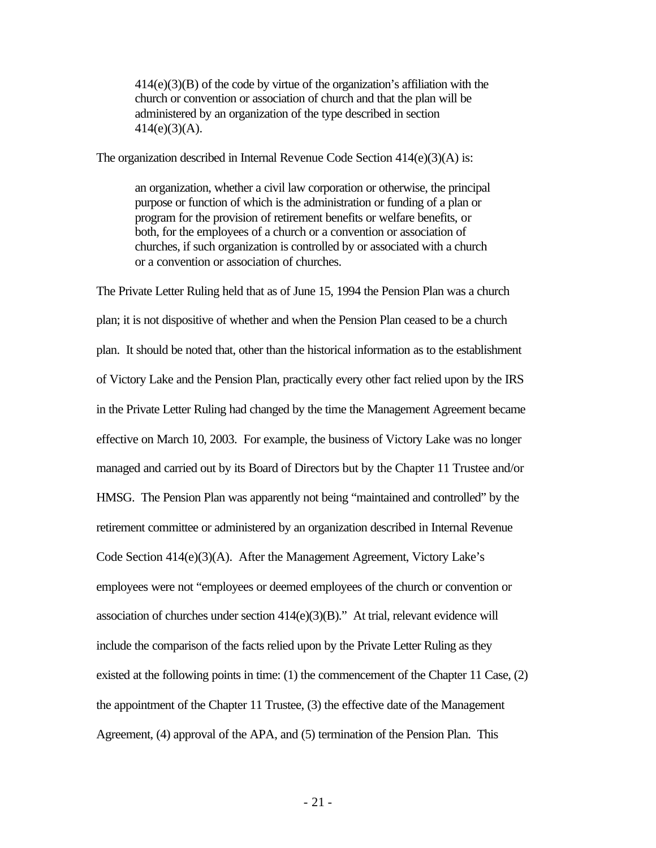414(e)(3)(B) of the code by virtue of the organization's affiliation with the church or convention or association of church and that the plan will be administered by an organization of the type described in section 414(e)(3)(A).

The organization described in Internal Revenue Code Section 414(e)(3)(A) is:

an organization, whether a civil law corporation or otherwise, the principal purpose or function of which is the administration or funding of a plan or program for the provision of retirement benefits or welfare benefits, or both, for the employees of a church or a convention or association of churches, if such organization is controlled by or associated with a church or a convention or association of churches.

The Private Letter Ruling held that as of June 15, 1994 the Pension Plan was a church plan; it is not dispositive of whether and when the Pension Plan ceased to be a church plan. It should be noted that, other than the historical information as to the establishment of Victory Lake and the Pension Plan, practically every other fact relied upon by the IRS in the Private Letter Ruling had changed by the time the Management Agreement became effective on March 10, 2003. For example, the business of Victory Lake was no longer managed and carried out by its Board of Directors but by the Chapter 11 Trustee and/or HMSG. The Pension Plan was apparently not being "maintained and controlled" by the retirement committee or administered by an organization described in Internal Revenue Code Section 414(e)(3)(A). After the Management Agreement, Victory Lake's employees were not "employees or deemed employees of the church or convention or association of churches under section 414(e)(3)(B)." At trial, relevant evidence will include the comparison of the facts relied upon by the Private Letter Ruling as they existed at the following points in time: (1) the commencement of the Chapter 11 Case, (2) the appointment of the Chapter 11 Trustee, (3) the effective date of the Management Agreement, (4) approval of the APA, and (5) termination of the Pension Plan. This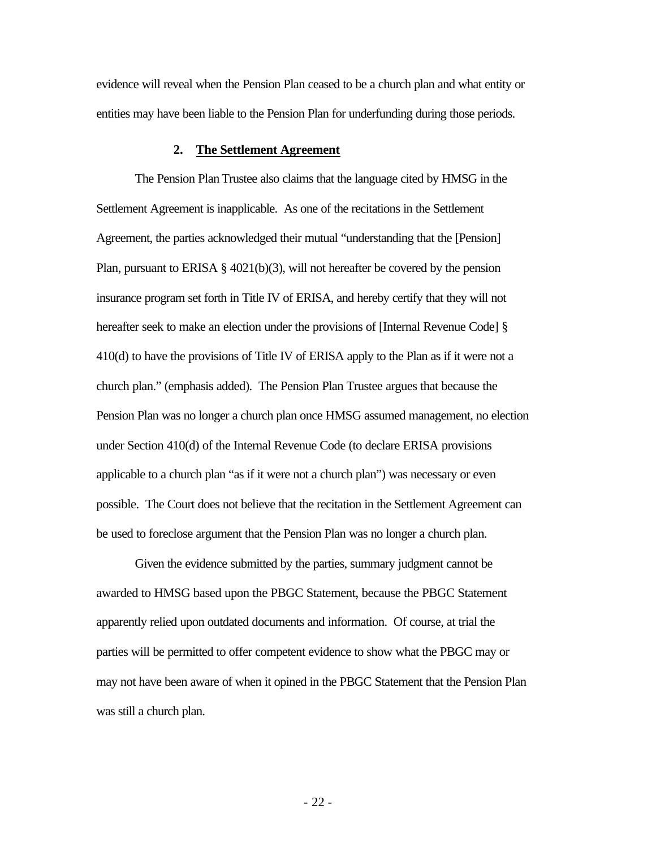evidence will reveal when the Pension Plan ceased to be a church plan and what entity or entities may have been liable to the Pension Plan for underfunding during those periods.

#### **2. The Settlement Agreement**

The Pension Plan Trustee also claims that the language cited by HMSG in the Settlement Agreement is inapplicable. As one of the recitations in the Settlement Agreement, the parties acknowledged their mutual "understanding that the [Pension] Plan, pursuant to ERISA  $\S$  4021(b)(3), will not hereafter be covered by the pension insurance program set forth in Title IV of ERISA, and hereby certify that they will not hereafter seek to make an election under the provisions of [Internal Revenue Code] § 410(d) to have the provisions of Title IV of ERISA apply to the Plan as if it were not a church plan." (emphasis added). The Pension Plan Trustee argues that because the Pension Plan was no longer a church plan once HMSG assumed management, no election under Section 410(d) of the Internal Revenue Code (to declare ERISA provisions applicable to a church plan "as if it were not a church plan") was necessary or even possible.The Court does not believe that the recitation in the Settlement Agreement can be used to foreclose argument that the Pension Plan was no longer a church plan.

Given the evidence submitted by the parties, summary judgment cannot be awarded to HMSG based upon the PBGC Statement, because the PBGC Statement apparently relied upon outdated documents and information. Of course, at trial the parties will be permitted to offer competent evidence to show what the PBGC may or may not have been aware of when it opined in the PBGC Statement that the Pension Plan was still a church plan.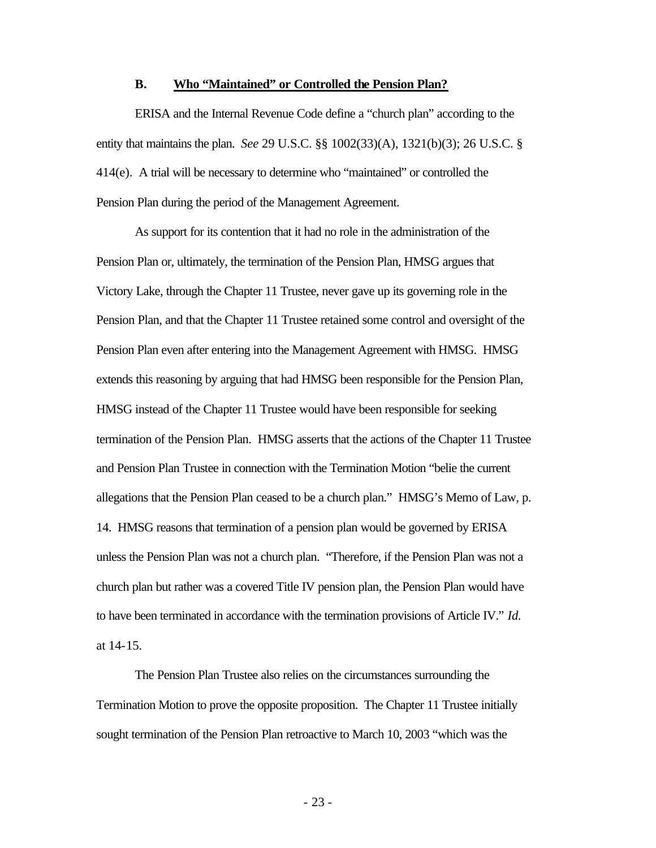### **B. Who "Maintained" or Controlled the Pension Plan?**

ERISA and the Internal Revenue Code define a "church plan" according to the entity that maintains the plan. *See* 29 U.S.C. §§ 1002(33)(A), 1321(b)(3); 26 U.S.C. § 414(e). A trial will be necessary to determine who "maintained" or controlled the Pension Plan during the period of the Management Agreement.

As support for its contention that it had no role in the administration of the Pension Plan or, ultimately, the termination of the Pension Plan, HMSG argues that Victory Lake, through the Chapter 11 Trustee, never gave up its governing role in the Pension Plan, and that the Chapter 11 Trustee retained some control and oversight of the Pension Plan even after entering into the Management Agreement with HMSG. HMSG extends this reasoning by arguing that had HMSG been responsible for the Pension Plan, HMSG instead of the Chapter 11 Trustee would have been responsible for seeking termination of the Pension Plan. HMSG asserts that the actions of the Chapter 11 Trustee and Pension Plan Trustee in connection with the Termination Motion "belie the current allegations that the Pension Plan ceased to be a church plan." HMSG's Memo of Law, p. 14. HMSG reasons that termination of a pension plan would be governed by ERISA unless the Pension Plan was not a church plan. "Therefore, if the Pension Plan was not a church plan but rather was a covered Title IV pension plan, the Pension Plan would have to have been terminated in accordance with the termination provisions of Article IV." *Id.* at 14-15.

The Pension Plan Trustee also relies on the circumstances surrounding the Termination Motion to prove the opposite proposition. The Chapter 11 Trustee initially sought termination of the Pension Plan retroactive to March 10, 2003 "which was the

- 23 -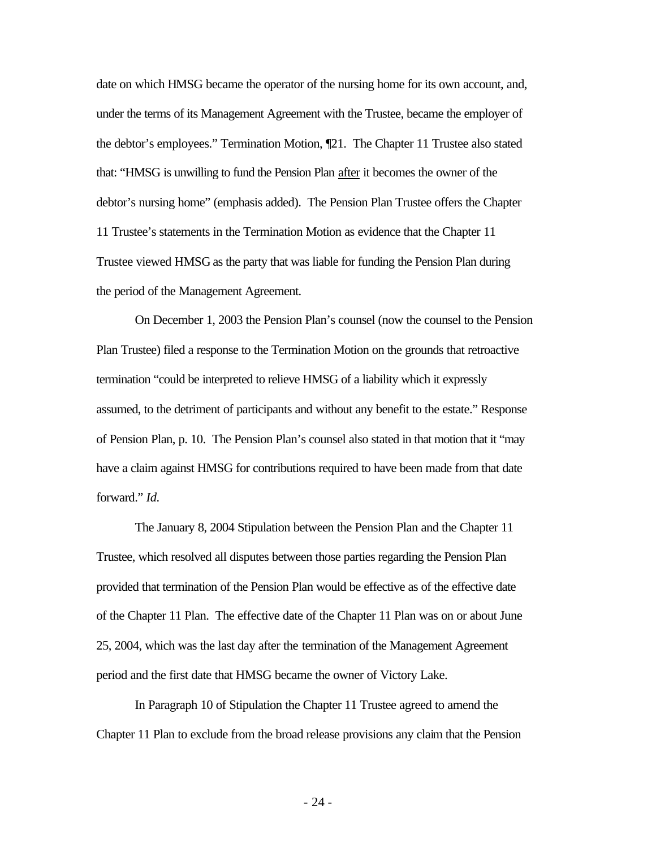date on which HMSG became the operator of the nursing home for its own account, and, under the terms of its Management Agreement with the Trustee, became the employer of the debtor's employees." Termination Motion, ¶21. The Chapter 11 Trustee also stated that: "HMSG is unwilling to fund the Pension Plan after it becomes the owner of the debtor's nursing home" (emphasis added). The Pension Plan Trustee offers the Chapter 11 Trustee's statements in the Termination Motion as evidence that the Chapter 11 Trustee viewed HMSG as the party that was liable for funding the Pension Plan during the period of the Management Agreement.

On December 1, 2003 the Pension Plan's counsel (now the counsel to the Pension Plan Trustee) filed a response to the Termination Motion on the grounds that retroactive termination "could be interpreted to relieve HMSG of a liability which it expressly assumed, to the detriment of participants and without any benefit to the estate." Response of Pension Plan, p. 10. The Pension Plan's counsel also stated in that motion that it "may have a claim against HMSG for contributions required to have been made from that date forward." *Id.*

The January 8, 2004 Stipulation between the Pension Plan and the Chapter 11 Trustee, which resolved all disputes between those parties regarding the Pension Plan provided that termination of the Pension Plan would be effective as of the effective date of the Chapter 11 Plan. The effective date of the Chapter 11 Plan was on or about June 25, 2004, which was the last day after the termination of the Management Agreement period and the first date that HMSG became the owner of Victory Lake.

In Paragraph 10 of Stipulation the Chapter 11 Trustee agreed to amend the Chapter 11 Plan to exclude from the broad release provisions any claim that the Pension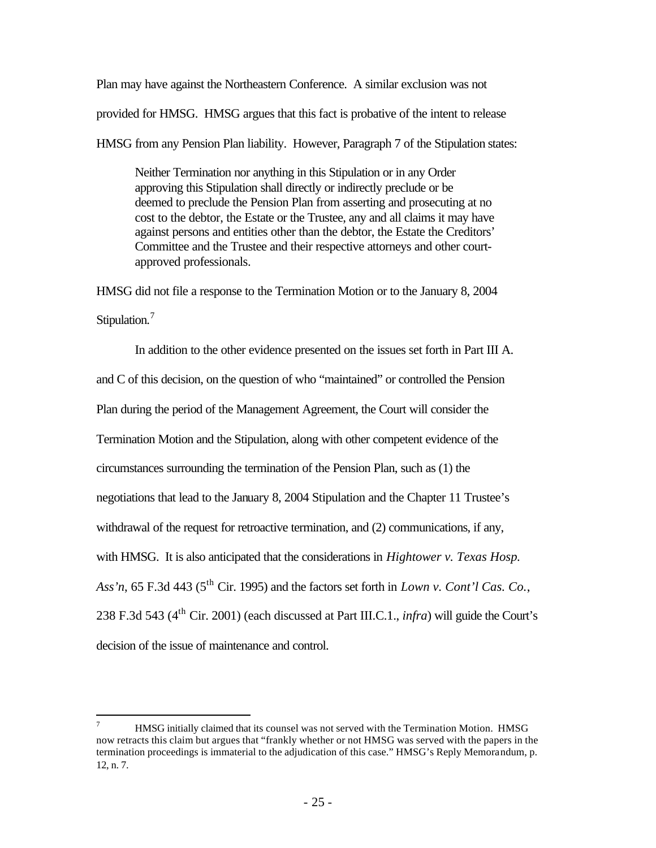Plan may have against the Northeastern Conference. A similar exclusion was not

provided for HMSG. HMSG argues that this fact is probative of the intent to release

HMSG from any Pension Plan liability. However, Paragraph 7 of the Stipulation states:

Neither Termination nor anything in this Stipulation or in any Order approving this Stipulation shall directly or indirectly preclude or be deemed to preclude the Pension Plan from asserting and prosecuting at no cost to the debtor, the Estate or the Trustee, any and all claims it may have against persons and entities other than the debtor, the Estate the Creditors' Committee and the Trustee and their respective attorneys and other courtapproved professionals.

HMSG did not file a response to the Termination Motion or to the January 8, 2004 Stipulation.<sup>7</sup>

In addition to the other evidence presented on the issues set forth in Part III A. and C of this decision, on the question of who "maintained" or controlled the Pension Plan during the period of the Management Agreement, the Court will consider the Termination Motion and the Stipulation, along with other competent evidence of the circumstances surrounding the termination of the Pension Plan, such as (1) the negotiations that lead to the January 8, 2004 Stipulation and the Chapter 11 Trustee's withdrawal of the request for retroactive termination, and (2) communications, if any, with HMSG. It is also anticipated that the considerations in *Hightower v. Texas Hosp.*  Ass'n, 65 F.3d 443 (5<sup>th</sup> Cir. 1995) and the factors set forth in *Lown v. Cont'l Cas. Co.*, 238 F.3d 543 (4th Cir. 2001) (each discussed at Part III.C.1., *infra*) will guide the Court's decision of the issue of maintenance and control.

 $\overline{a}$ 

<sup>7</sup> HMSG initially claimed that its counsel was not served with the Termination Motion. HMSG now retracts this claim but argues that "frankly whether or not HMSG was served with the papers in the termination proceedings is immaterial to the adjudication of this case." HMSG's Reply Memorandum, p. 12, n. 7.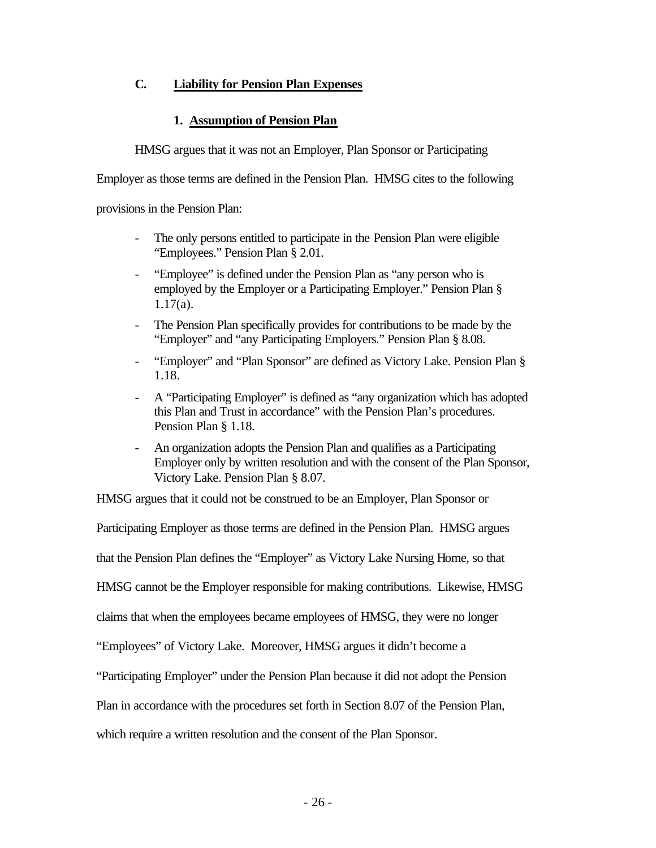# **C. Liability for Pension Plan Expenses**

# **1. Assumption of Pension Plan**

HMSG argues that it was not an Employer, Plan Sponsor or Participating

Employer as those terms are defined in the Pension Plan. HMSG cites to the following

provisions in the Pension Plan:

- The only persons entitled to participate in the Pension Plan were eligible "Employees." Pension Plan § 2.01.
- "Employee" is defined under the Pension Plan as "any person who is employed by the Employer or a Participating Employer." Pension Plan § 1.17(a).
- The Pension Plan specifically provides for contributions to be made by the "Employer" and "any Participating Employers." Pension Plan § 8.08.
- "Employer" and "Plan Sponsor" are defined as Victory Lake. Pension Plan § 1.18.
- A "Participating Employer" is defined as "any organization which has adopted this Plan and Trust in accordance" with the Pension Plan's procedures. Pension Plan § 1.18.
- An organization adopts the Pension Plan and qualifies as a Participating Employer only by written resolution and with the consent of the Plan Sponsor, Victory Lake. Pension Plan § 8.07.

HMSG argues that it could not be construed to be an Employer, Plan Sponsor or

Participating Employer as those terms are defined in the Pension Plan. HMSG argues

that the Pension Plan defines the "Employer" as Victory Lake Nursing Home, so that

HMSG cannot be the Employer responsible for making contributions. Likewise, HMSG

claims that when the employees became employees of HMSG, they were no longer

"Employees" of Victory Lake. Moreover, HMSG argues it didn't become a

"Participating Employer" under the Pension Plan because it did not adopt the Pension

Plan in accordance with the procedures set forth in Section 8.07 of the Pension Plan,

which require a written resolution and the consent of the Plan Sponsor.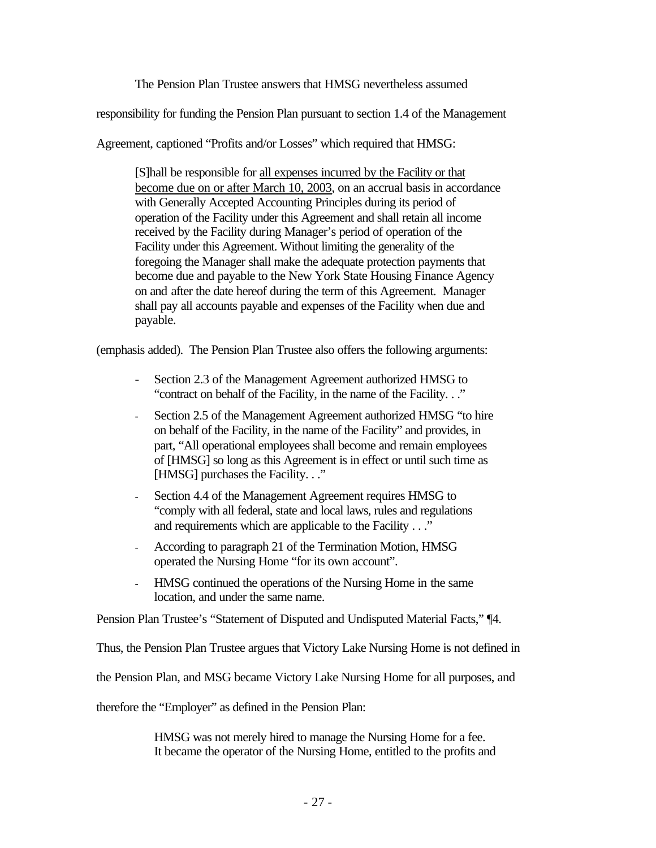The Pension Plan Trustee answers that HMSG nevertheless assumed

responsibility for funding the Pension Plan pursuant to section 1.4 of the Management

Agreement, captioned "Profits and/or Losses" which required that HMSG:

[S]hall be responsible for all expenses incurred by the Facility or that become due on or after March 10, 2003, on an accrual basis in accordance with Generally Accepted Accounting Principles during its period of operation of the Facility under this Agreement and shall retain all income received by the Facility during Manager's period of operation of the Facility under this Agreement. Without limiting the generality of the foregoing the Manager shall make the adequate protection payments that become due and payable to the New York State Housing Finance Agency on and after the date hereof during the term of this Agreement. Manager shall pay all accounts payable and expenses of the Facility when due and payable.

(emphasis added). The Pension Plan Trustee also offers the following arguments:

- Section 2.3 of the Management Agreement authorized HMSG to "contract on behalf of the Facility, in the name of the Facility. . ."
- Section 2.5 of the Management Agreement authorized HMSG "to hire on behalf of the Facility, in the name of the Facility" and provides, in part, "All operational employees shall become and remain employees of [HMSG] so long as this Agreement is in effect or until such time as [HMSG] purchases the Facility. . ."
- Section 4.4 of the Management Agreement requires HMSG to "comply with all federal, state and local laws, rules and regulations and requirements which are applicable to the Facility . . ."
- According to paragraph 21 of the Termination Motion, HMSG operated the Nursing Home "for its own account".
- HMSG continued the operations of the Nursing Home in the same location, and under the same name.

Pension Plan Trustee's "Statement of Disputed and Undisputed Material Facts," ¶4.

Thus, the Pension Plan Trustee argues that Victory Lake Nursing Home is not defined in

the Pension Plan, and MSG became Victory Lake Nursing Home for all purposes, and

therefore the "Employer" as defined in the Pension Plan:

HMSG was not merely hired to manage the Nursing Home for a fee. It became the operator of the Nursing Home, entitled to the profits and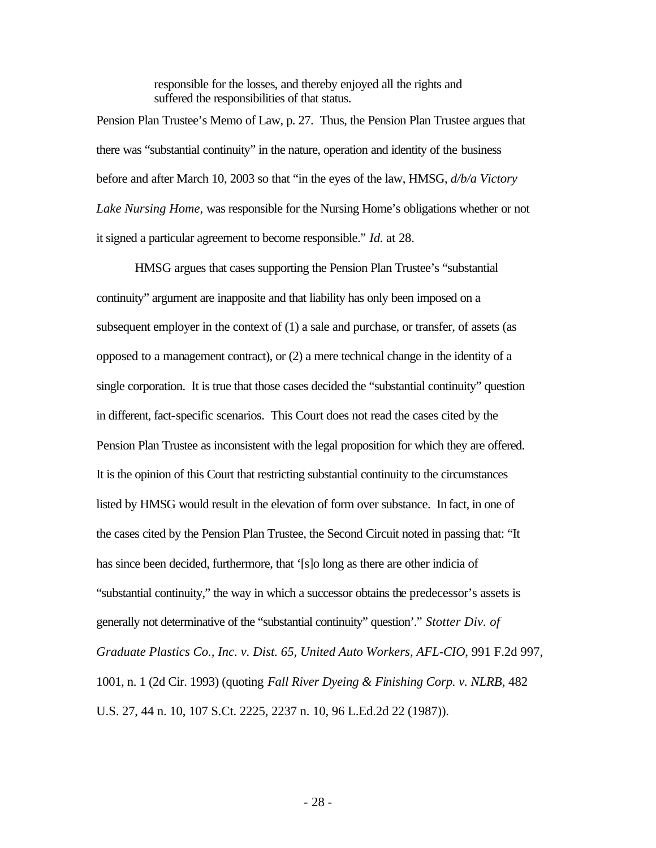responsible for the losses, and thereby enjoyed all the rights and suffered the responsibilities of that status.

Pension Plan Trustee's Memo of Law, p. 27. Thus, the Pension Plan Trustee argues that there was "substantial continuity" in the nature, operation and identity of the business before and after March 10, 2003 so that "in the eyes of the law, HMSG, *d/b/a Victory Lake Nursing Home,* was responsible for the Nursing Home's obligations whether or not it signed a particular agreement to become responsible." *Id.* at 28.

HMSG argues that cases supporting the Pension Plan Trustee's "substantial continuity" argument are inapposite and that liability has only been imposed on a subsequent employer in the context of (1) a sale and purchase, or transfer, of assets (as opposed to a management contract), or (2) a mere technical change in the identity of a single corporation. It is true that those cases decided the "substantial continuity" question in different, fact-specific scenarios. This Court does not read the cases cited by the Pension Plan Trustee as inconsistent with the legal proposition for which they are offered. It is the opinion of this Court that restricting substantial continuity to the circumstances listed by HMSG would result in the elevation of form over substance. In fact, in one of the cases cited by the Pension Plan Trustee, the Second Circuit noted in passing that: "It has since been decided, furthermore, that '[s]o long as there are other indicia of "substantial continuity," the way in which a successor obtains the predecessor's assets is generally not determinative of the "substantial continuity" question'." *Stotter Div. of Graduate Plastics Co., Inc. v. Dist. 65, United Auto Workers, AFL-CIO*, 991 F.2d 997, 1001, n. 1 (2d Cir. 1993) (quoting *Fall River Dyeing & Finishing Corp. v. NLRB*, 482 U.S. 27, 44 n. 10, 107 S.Ct. 2225, 2237 n. 10, 96 L.Ed.2d 22 (1987)).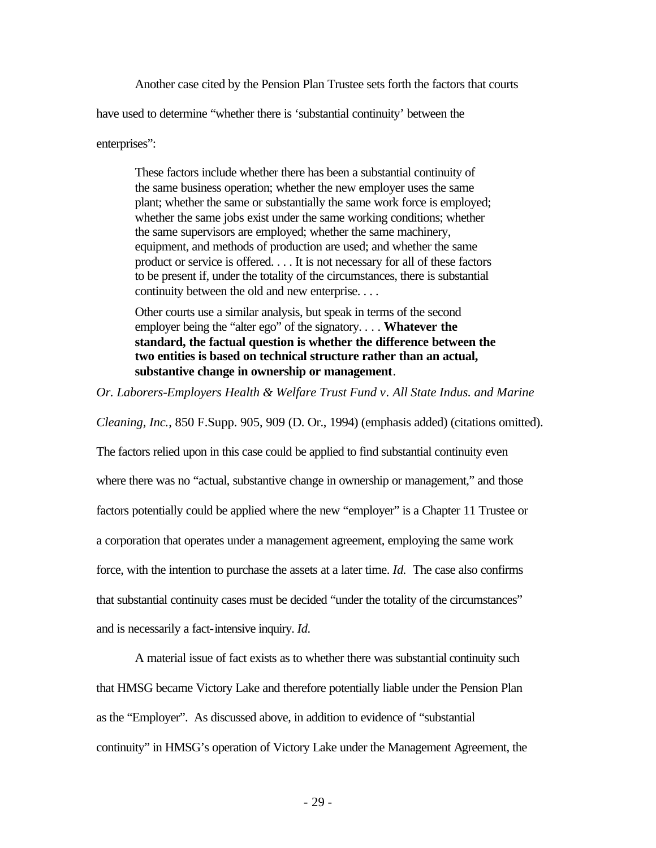Another case cited by the Pension Plan Trustee sets forth the factors that courts

have used to determine "whether there is 'substantial continuity' between the

enterprises":

These factors include whether there has been a substantial continuity of the same business operation; whether the new employer uses the same plant; whether the same or substantially the same work force is employed; whether the same jobs exist under the same working conditions; whether the same supervisors are employed; whether the same machinery, equipment, and methods of production are used; and whether the same product or service is offered. . . . It is not necessary for all of these factors to be present if, under the totality of the circumstances, there is substantial continuity between the old and new enterprise. . . .

Other courts use a similar analysis, but speak in terms of the second employer being the "alter ego" of the signatory. . . . **Whatever the standard, the factual question is whether the difference between the two entities is based on technical structure rather than an actual, substantive change in ownership or management**.

*Or. Laborers-Employers Health & Welfare Trust Fund v. All State Indus. and Marine* 

*Cleaning, Inc.*, 850 F.Supp. 905, 909 (D. Or., 1994) (emphasis added) (citations omitted).

The factors relied upon in this case could be applied to find substantial continuity even where there was no "actual, substantive change in ownership or management," and those factors potentially could be applied where the new "employer" is a Chapter 11 Trustee or a corporation that operates under a management agreement, employing the same work force, with the intention to purchase the assets at a later time. *Id.* The case also confirms that substantial continuity cases must be decided "under the totality of the circumstances" and is necessarily a fact-intensive inquiry. *Id.*

A material issue of fact exists as to whether there was substantial continuity such that HMSG became Victory Lake and therefore potentially liable under the Pension Plan as the "Employer". As discussed above, in addition to evidence of "substantial continuity" in HMSG's operation of Victory Lake under the Management Agreement, the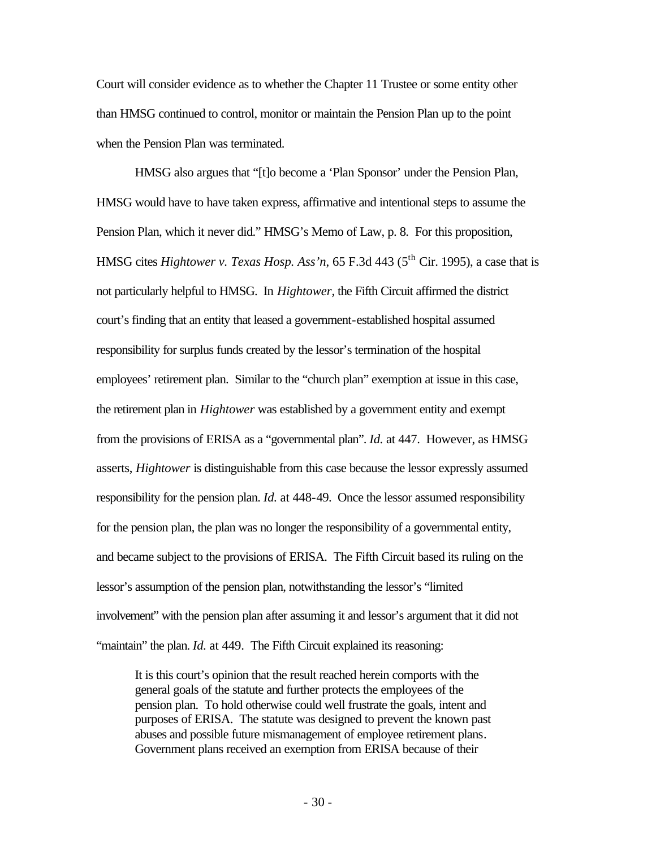Court will consider evidence as to whether the Chapter 11 Trustee or some entity other than HMSG continued to control, monitor or maintain the Pension Plan up to the point when the Pension Plan was terminated.

HMSG also argues that "[t]o become a 'Plan Sponsor' under the Pension Plan, HMSG would have to have taken express, affirmative and intentional steps to assume the Pension Plan, which it never did." HMSG's Memo of Law, p. 8. For this proposition, HMSG cites *Hightower v. Texas Hosp. Ass'n*, 65 F.3d 443 (5<sup>th</sup> Cir. 1995), a case that is not particularly helpful to HMSG. In *Hightower*, the Fifth Circuit affirmed the district court's finding that an entity that leased a government-established hospital assumed responsibility for surplus funds created by the lessor's termination of the hospital employees' retirement plan. Similar to the "church plan" exemption at issue in this case, the retirement plan in *Hightower* was established by a government entity and exempt from the provisions of ERISA as a "governmental plan". *Id.* at 447. However, as HMSG asserts, *Hightower* is distinguishable from this case because the lessor expressly assumed responsibility for the pension plan. *Id.* at 448-49. Once the lessor assumed responsibility for the pension plan, the plan was no longer the responsibility of a governmental entity, and became subject to the provisions of ERISA. The Fifth Circuit based its ruling on the lessor's assumption of the pension plan, notwithstanding the lessor's "limited involvement" with the pension plan after assuming it and lessor's argument that it did not "maintain" the plan. *Id.* at 449. The Fifth Circuit explained its reasoning:

It is this court's opinion that the result reached herein comports with the general goals of the statute and further protects the employees of the pension plan. To hold otherwise could well frustrate the goals, intent and purposes of ERISA. The statute was designed to prevent the known past abuses and possible future mismanagement of employee retirement plans. Government plans received an exemption from ERISA because of their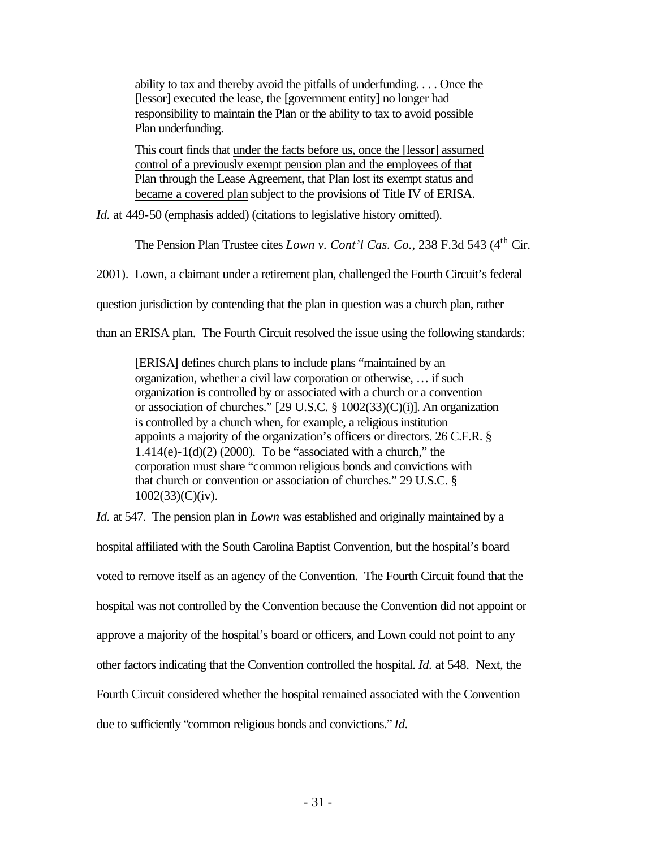ability to tax and thereby avoid the pitfalls of underfunding. . . . Once the [lessor] executed the lease, the [government entity] no longer had responsibility to maintain the Plan or the ability to tax to avoid possible Plan underfunding.

This court finds that under the facts before us, once the [lessor] assumed control of a previously exempt pension plan and the employees of that Plan through the Lease Agreement, that Plan lost its exempt status and became a covered plan subject to the provisions of Title IV of ERISA.

*Id.* at 449-50 (emphasis added) (citations to legislative history omitted).

The Pension Plan Trustee cites *Lown v. Cont'l Cas. Co.*, 238 F.3d 543 (4<sup>th</sup> Cir.

2001). Lown, a claimant under a retirement plan, challenged the Fourth Circuit's federal

question jurisdiction by contending that the plan in question was a church plan, rather

than an ERISA plan. The Fourth Circuit resolved the issue using the following standards:

[ERISA] defines church plans to include plans "maintained by an organization, whether a civil law corporation or otherwise, … if such organization is controlled by or associated with a church or a convention or association of churches." [29 U.S.C. § 1002(33)(C)(i)]. An organization is controlled by a church when, for example, a religious institution appoints a majority of the organization's officers or directors. 26 C.F.R. §  $1.414(e) - 1(d)(2)$  (2000). To be "associated with a church," the corporation must share "common religious bonds and convictions with that church or convention or association of churches." 29 U.S.C. § 1002(33)(C)(iv).

*Id.* at 547. The pension plan in *Lown* was established and originally maintained by a hospital affiliated with the South Carolina Baptist Convention, but the hospital's board voted to remove itself as an agency of the Convention. The Fourth Circuit found that the hospital was not controlled by the Convention because the Convention did not appoint or approve a majority of the hospital's board or officers, and Lown could not point to any other factors indicating that the Convention controlled the hospital. *Id.* at 548. Next, the Fourth Circuit considered whether the hospital remained associated with the Convention due to sufficiently "common religious bonds and convictions." *Id.*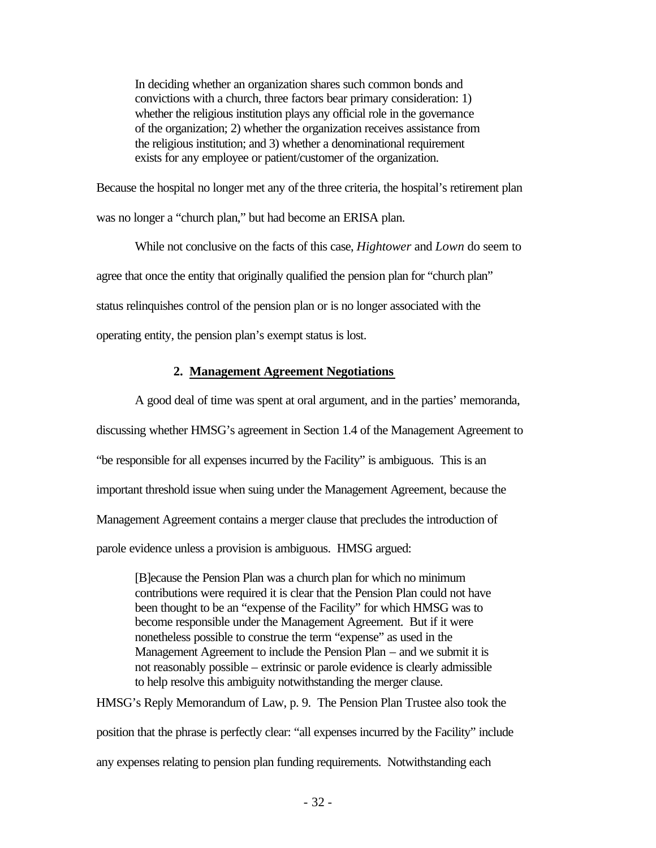In deciding whether an organization shares such common bonds and convictions with a church, three factors bear primary consideration: 1) whether the religious institution plays any official role in the governance of the organization; 2) whether the organization receives assistance from the religious institution; and 3) whether a denominational requirement exists for any employee or patient/customer of the organization.

Because the hospital no longer met any of the three criteria, the hospital's retirement plan was no longer a "church plan," but had become an ERISA plan.

While not conclusive on the facts of this case, *Hightower* and *Lown* do seem to agree that once the entity that originally qualified the pension plan for "church plan" status relinquishes control of the pension plan or is no longer associated with the operating entity, the pension plan's exempt status is lost.

### **2. Management Agreement Negotiations**

A good deal of time was spent at oral argument, and in the parties' memoranda, discussing whether HMSG's agreement in Section 1.4 of the Management Agreement to "be responsible for all expenses incurred by the Facility" is ambiguous. This is an important threshold issue when suing under the Management Agreement, because the Management Agreement contains a merger clause that precludes the introduction of parole evidence unless a provision is ambiguous. HMSG argued:

[B]ecause the Pension Plan was a church plan for which no minimum contributions were required it is clear that the Pension Plan could not have been thought to be an "expense of the Facility" for which HMSG was to become responsible under the Management Agreement. But if it were nonetheless possible to construe the term "expense" as used in the Management Agreement to include the Pension Plan – and we submit it is not reasonably possible – extrinsic or parole evidence is clearly admissible to help resolve this ambiguity notwithstanding the merger clause.

HMSG's Reply Memorandum of Law, p. 9. The Pension Plan Trustee also took the position that the phrase is perfectly clear: "all expenses incurred by the Facility" include any expenses relating to pension plan funding requirements. Notwithstanding each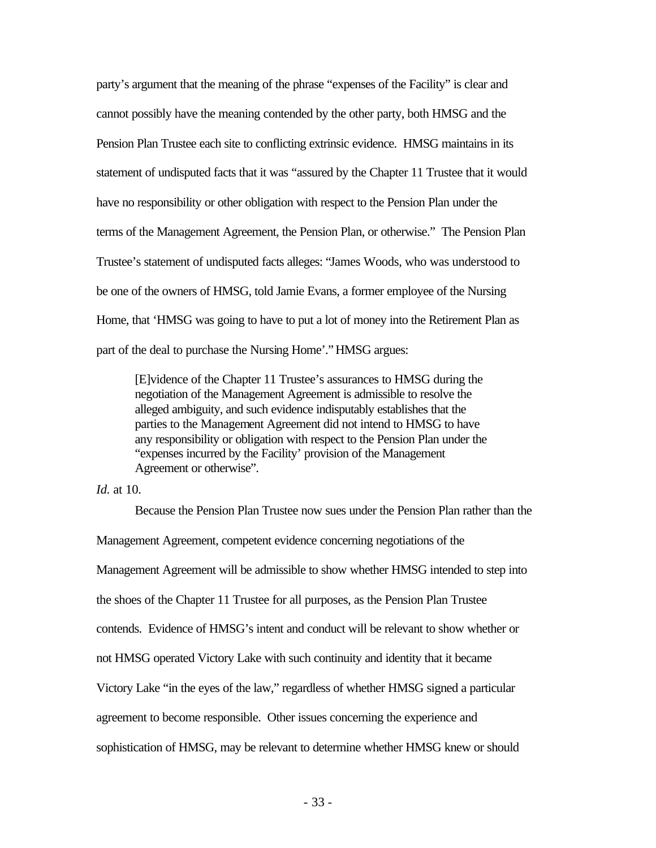party's argument that the meaning of the phrase "expenses of the Facility" is clear and cannot possibly have the meaning contended by the other party, both HMSG and the Pension Plan Trustee each site to conflicting extrinsic evidence. HMSG maintains in its statement of undisputed facts that it was "assured by the Chapter 11 Trustee that it would have no responsibility or other obligation with respect to the Pension Plan under the terms of the Management Agreement, the Pension Plan, or otherwise." The Pension Plan Trustee's statement of undisputed facts alleges: "James Woods, who was understood to be one of the owners of HMSG, told Jamie Evans, a former employee of the Nursing Home, that 'HMSG was going to have to put a lot of money into the Retirement Plan as part of the deal to purchase the Nursing Home'." HMSG argues:

[E]vidence of the Chapter 11 Trustee's assurances to HMSG during the negotiation of the Management Agreement is admissible to resolve the alleged ambiguity, and such evidence indisputably establishes that the parties to the Management Agreement did not intend to HMSG to have any responsibility or obligation with respect to the Pension Plan under the "expenses incurred by the Facility' provision of the Management Agreement or otherwise".

### *Id.* at 10.

Because the Pension Plan Trustee now sues under the Pension Plan rather than the Management Agreement, competent evidence concerning negotiations of the Management Agreement will be admissible to show whether HMSG intended to step into the shoes of the Chapter 11 Trustee for all purposes, as the Pension Plan Trustee contends. Evidence of HMSG's intent and conduct will be relevant to show whether or not HMSG operated Victory Lake with such continuity and identity that it became Victory Lake "in the eyes of the law," regardless of whether HMSG signed a particular agreement to become responsible. Other issues concerning the experience and sophistication of HMSG, may be relevant to determine whether HMSG knew or should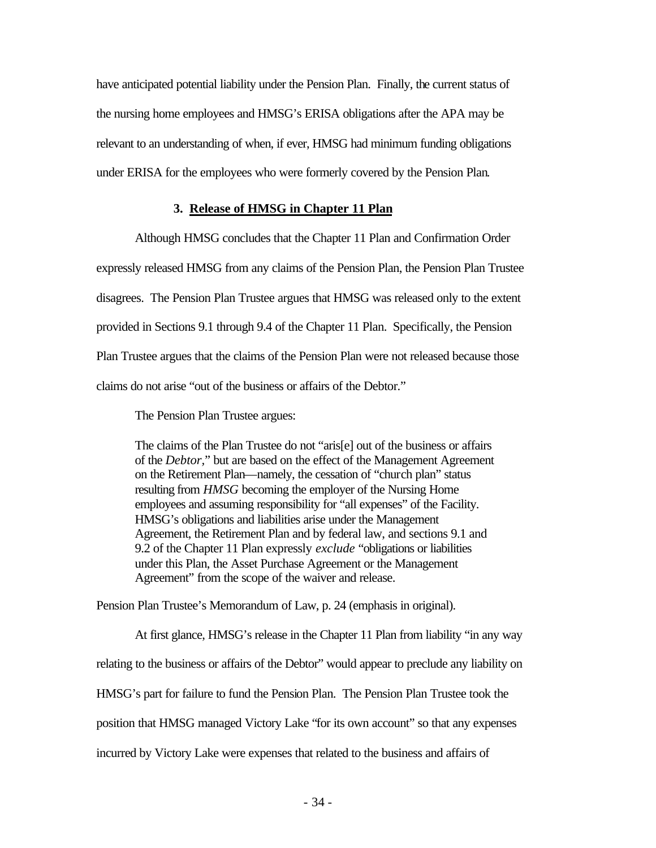have anticipated potential liability under the Pension Plan. Finally, the current status of the nursing home employees and HMSG's ERISA obligations after the APA may be relevant to an understanding of when, if ever, HMSG had minimum funding obligations under ERISA for the employees who were formerly covered by the Pension Plan.

## **3. Release of HMSG in Chapter 11 Plan**

Although HMSG concludes that the Chapter 11 Plan and Confirmation Order

expressly released HMSG from any claims of the Pension Plan, the Pension Plan Trustee disagrees. The Pension Plan Trustee argues that HMSG was released only to the extent provided in Sections 9.1 through 9.4 of the Chapter 11 Plan. Specifically, the Pension Plan Trustee argues that the claims of the Pension Plan were not released because those claims do not arise "out of the business or affairs of the Debtor."

The Pension Plan Trustee argues:

The claims of the Plan Trustee do not "aris[e] out of the business or affairs of the *Debtor,*" but are based on the effect of the Management Agreement on the Retirement Plan—namely, the cessation of "church plan" status resulting from *HMSG* becoming the employer of the Nursing Home employees and assuming responsibility for "all expenses" of the Facility. HMSG's obligations and liabilities arise under the Management Agreement, the Retirement Plan and by federal law, and sections 9.1 and 9.2 of the Chapter 11 Plan expressly *exclude* "obligations or liabilities under this Plan, the Asset Purchase Agreement or the Management Agreement" from the scope of the waiver and release.

Pension Plan Trustee's Memorandum of Law, p. 24 (emphasis in original).

At first glance, HMSG's release in the Chapter 11 Plan from liability "in any way relating to the business or affairs of the Debtor" would appear to preclude any liability on HMSG's part for failure to fund the Pension Plan. The Pension Plan Trustee took the position that HMSG managed Victory Lake "for its own account" so that any expenses incurred by Victory Lake were expenses that related to the business and affairs of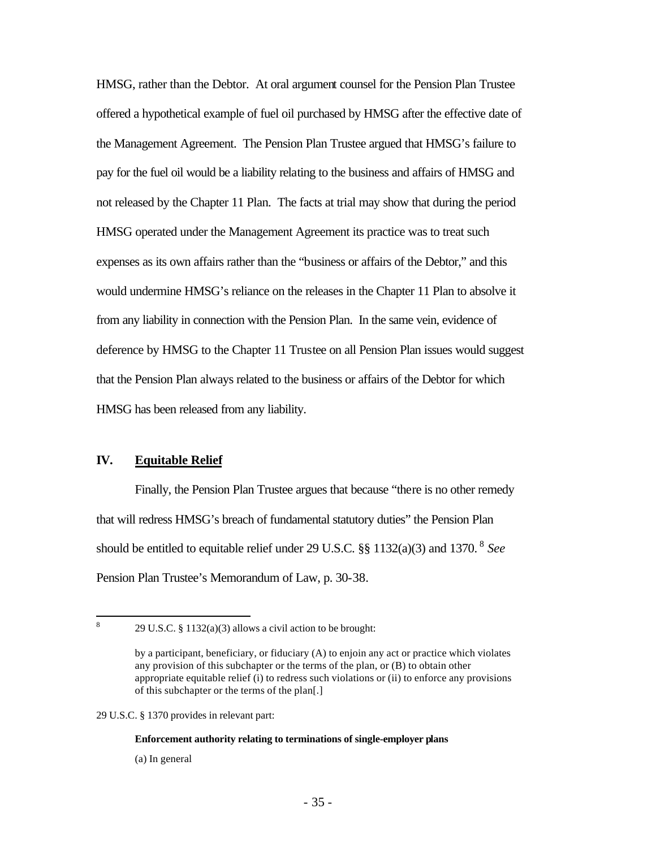HMSG, rather than the Debtor. At oral argument counsel for the Pension Plan Trustee offered a hypothetical example of fuel oil purchased by HMSG after the effective date of the Management Agreement. The Pension Plan Trustee argued that HMSG's failure to pay for the fuel oil would be a liability relating to the business and affairs of HMSG and not released by the Chapter 11 Plan. The facts at trial may show that during the period HMSG operated under the Management Agreement its practice was to treat such expenses as its own affairs rather than the "business or affairs of the Debtor," and this would undermine HMSG's reliance on the releases in the Chapter 11 Plan to absolve it from any liability in connection with the Pension Plan. In the same vein, evidence of deference by HMSG to the Chapter 11 Trustee on all Pension Plan issues would suggest that the Pension Plan always related to the business or affairs of the Debtor for which HMSG has been released from any liability.

# **IV. Equitable Relief**

Finally, the Pension Plan Trustee argues that because "there is no other remedy that will redress HMSG's breach of fundamental statutory duties" the Pension Plan should be entitled to equitable relief under 29 U.S.C. §§ 1132(a)(3) and 1370. <sup>8</sup> *See*  Pension Plan Trustee's Memorandum of Law, p. 30-38.

29 U.S.C. § 1370 provides in relevant part:

#### **Enforcement authority relating to terminations of single-employer plans**

(a) In general

 8 29 U.S.C. § 1132(a)(3) allows a civil action to be brought:

by a participant, beneficiary, or fiduciary (A) to enjoin any act or practice which violates any provision of this subchapter or the terms of the plan, or (B) to obtain other appropriate equitable relief (i) to redress such violations or (ii) to enforce any provisions of this subchapter or the terms of the plan[.]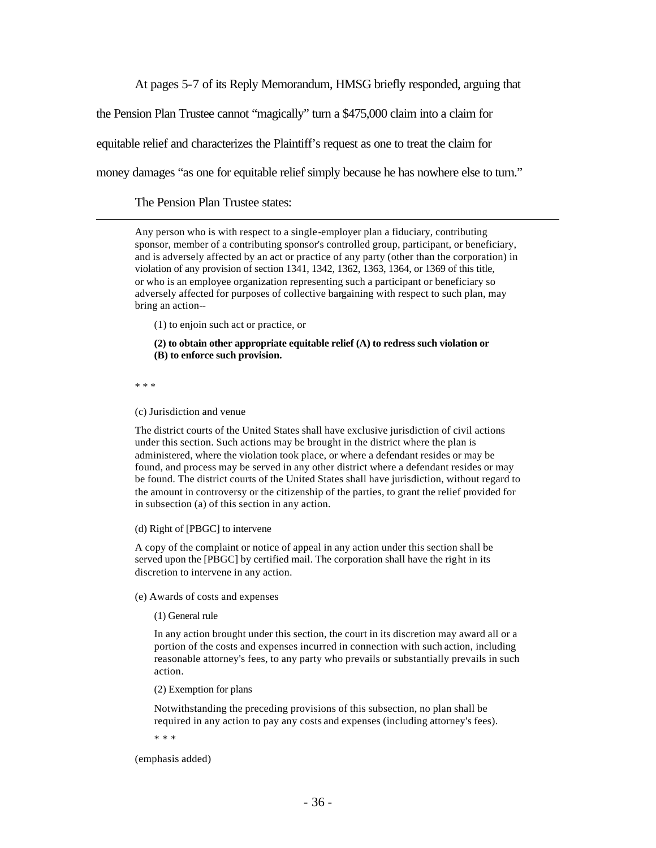At pages 5-7 of its Reply Memorandum, HMSG briefly responded, arguing that

the Pension Plan Trustee cannot "magically" turn a \$475,000 claim into a claim for

equitable relief and characterizes the Plaintiff's request as one to treat the claim for

money damages "as one for equitable relief simply because he has nowhere else to turn."

The Pension Plan Trustee states:

Any person who is with respect to a single-employer plan a fiduciary, contributing sponsor, member of a contributing sponsor's controlled group, participant, or beneficiary, and is adversely affected by an act or practice of any party (other than the corporation) in violation of any provision of section 1341, 1342, 1362, 1363, 1364, or 1369 of this title, or who is an employee organization representing such a participant or beneficiary so adversely affected for purposes of collective bargaining with respect to such plan, may bring an action--

(1) to enjoin such act or practice, or

**(2) to obtain other appropriate equitable relief (A) to redress such violation or (B) to enforce such provision.**

\* \* \*

 $\overline{a}$ 

(c) Jurisdiction and venue

The district courts of the United States shall have exclusive jurisdiction of civil actions under this section. Such actions may be brought in the district where the plan is administered, where the violation took place, or where a defendant resides or may be found, and process may be served in any other district where a defendant resides or may be found. The district courts of the United States shall have jurisdiction, without regard to the amount in controversy or the citizenship of the parties, to grant the relief provided for in subsection (a) of this section in any action.

(d) Right of [PBGC] to intervene

A copy of the complaint or notice of appeal in any action under this section shall be served upon the [PBGC] by certified mail. The corporation shall have the right in its discretion to intervene in any action.

(e) Awards of costs and expenses

(1) General rule

In any action brought under this section, the court in its discretion may award all or a portion of the costs and expenses incurred in connection with such action, including reasonable attorney's fees, to any party who prevails or substantially prevails in such action.

(2) Exemption for plans

Notwithstanding the preceding provisions of this subsection, no plan shall be required in any action to pay any costs and expenses (including attorney's fees).

\* \* \*

(emphasis added)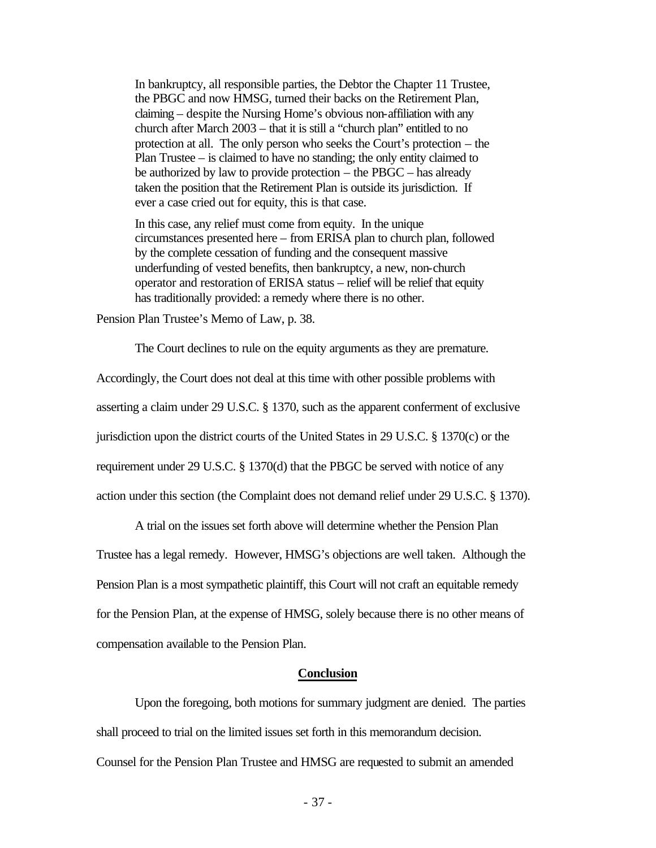In bankruptcy, all responsible parties, the Debtor the Chapter 11 Trustee, the PBGC and now HMSG, turned their backs on the Retirement Plan, claiming – despite the Nursing Home's obvious non-affiliation with any church after March 2003 – that it is still a "church plan" entitled to no protection at all. The only person who seeks the Court's protection – the Plan Trustee – is claimed to have no standing; the only entity claimed to be authorized by law to provide protection – the PBGC – has already taken the position that the Retirement Plan is outside its jurisdiction. If ever a case cried out for equity, this is that case.

In this case, any relief must come from equity. In the unique circumstances presented here – from ERISA plan to church plan, followed by the complete cessation of funding and the consequent massive underfunding of vested benefits, then bankruptcy, a new, non-church operator and restoration of ERISA status – relief will be relief that equity has traditionally provided: a remedy where there is no other.

Pension Plan Trustee's Memo of Law, p. 38.

The Court declines to rule on the equity arguments as they are premature.

Accordingly, the Court does not deal at this time with other possible problems with asserting a claim under 29 U.S.C. § 1370, such as the apparent conferment of exclusive jurisdiction upon the district courts of the United States in 29 U.S.C. § 1370(c) or the requirement under 29 U.S.C. § 1370(d) that the PBGC be served with notice of any action under this section (the Complaint does not demand relief under 29 U.S.C. § 1370).

A trial on the issues set forth above will determine whether the Pension Plan Trustee has a legal remedy. However, HMSG's objections are well taken. Although the Pension Plan is a most sympathetic plaintiff, this Court will not craft an equitable remedy for the Pension Plan, at the expense of HMSG, solely because there is no other means of compensation available to the Pension Plan.

### **Conclusion**

Upon the foregoing, both motions for summary judgment are denied. The parties shall proceed to trial on the limited issues set forth in this memorandum decision. Counsel for the Pension Plan Trustee and HMSG are requested to submit an amended